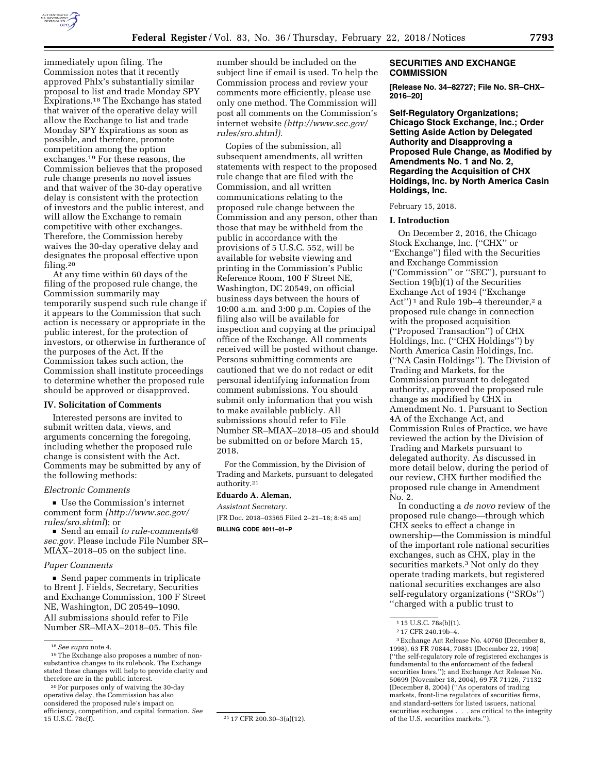

immediately upon filing. The Commission notes that it recently approved Phlx's substantially similar proposal to list and trade Monday SPY Expirations.18 The Exchange has stated that waiver of the operative delay will allow the Exchange to list and trade Monday SPY Expirations as soon as possible, and therefore, promote competition among the option exchanges.19 For these reasons, the Commission believes that the proposed rule change presents no novel issues and that waiver of the 30-day operative delay is consistent with the protection of investors and the public interest, and will allow the Exchange to remain competitive with other exchanges. Therefore, the Commission hereby waives the 30-day operative delay and designates the proposal effective upon filing.<sup>20</sup>

At any time within 60 days of the filing of the proposed rule change, the Commission summarily may temporarily suspend such rule change if it appears to the Commission that such action is necessary or appropriate in the public interest, for the protection of investors, or otherwise in furtherance of the purposes of the Act. If the Commission takes such action, the Commission shall institute proceedings to determine whether the proposed rule should be approved or disapproved.

## **IV. Solicitation of Comments**

Interested persons are invited to submit written data, views, and arguments concerning the foregoing, including whether the proposed rule change is consistent with the Act. Comments may be submitted by any of the following methods:

#### *Electronic Comments*

■ Use the Commission's internet comment form *(http://www.sec.gov/ [rules/sro.shtml](http://www.sec.gov/rules/sro.shtml)*); or

D Send an email *to [rule-comments@](mailto:rule-comments@sec.gov) [sec.gov.](mailto:rule-comments@sec.gov)* Please include File Number SR– MIAX–2018–05 on the subject line.

### *Paper Comments*

 $\blacksquare$  Send paper comments in triplicate to Brent J. Fields, Secretary, Securities and Exchange Commission, 100 F Street NE, Washington, DC 20549–1090. All submissions should refer to File Number SR–MIAX–2018–05. This file

20For purposes only of waiving the 30-day operative delay, the Commission has also considered the proposed rule's impact on efficiency, competition, and capital formation. *See*  number should be included on the subject line if email is used. To help the Commission process and review your comments more efficiently, please use only one method. The Commission will post all comments on the Commission's internet website *([http://www.sec.gov/](http://www.sec.gov/rules/sro.shtml)  [rules/sro.shtml\).](http://www.sec.gov/rules/sro.shtml)* 

Copies of the submission, all subsequent amendments, all written statements with respect to the proposed rule change that are filed with the Commission, and all written communications relating to the proposed rule change between the Commission and any person, other than those that may be withheld from the public in accordance with the provisions of 5 U.S.C. 552, will be available for website viewing and printing in the Commission's Public Reference Room, 100 F Street NE, Washington, DC 20549, on official business days between the hours of 10:00 a.m. and 3:00 p.m. Copies of the filing also will be available for inspection and copying at the principal office of the Exchange. All comments received will be posted without change. Persons submitting comments are cautioned that we do not redact or edit personal identifying information from comment submissions. You should submit only information that you wish to make available publicly. All submissions should refer to File Number SR–MIAX–2018–05 and should be submitted on or before March 15, 2018.

For the Commission, by the Division of Trading and Markets, pursuant to delegated authority.21

### **Eduardo A. Aleman,**

*Assistant Secretary.* 

[FR Doc. 2018–03565 Filed 2–21–18; 8:45 am] **BILLING CODE 8011–01–P** 

## **SECURITIES AND EXCHANGE COMMISSION**

**[Release No. 34–82727; File No. SR–CHX– 2016–20]** 

**Self-Regulatory Organizations; Chicago Stock Exchange, Inc.; Order Setting Aside Action by Delegated Authority and Disapproving a Proposed Rule Change, as Modified by Amendments No. 1 and No. 2, Regarding the Acquisition of CHX Holdings, Inc. by North America Casin Holdings, Inc.** 

#### February 15, 2018.

### **I. Introduction**

On December 2, 2016, the Chicago Stock Exchange, Inc. (''CHX'' or ''Exchange'') filed with the Securities and Exchange Commission (''Commission'' or ''SEC''), pursuant to Section 19(b)(1) of the Securities Exchange Act of 1934 (''Exchange Act")<sup>1</sup> and Rule 19b-4 thereunder,<sup>2</sup> a proposed rule change in connection with the proposed acquisition (''Proposed Transaction'') of CHX Holdings, Inc. (''CHX Holdings'') by North America Casin Holdings, Inc. (''NA Casin Holdings''). The Division of Trading and Markets, for the Commission pursuant to delegated authority, approved the proposed rule change as modified by CHX in Amendment No. 1. Pursuant to Section 4A of the Exchange Act, and Commission Rules of Practice, we have reviewed the action by the Division of Trading and Markets pursuant to delegated authority. As discussed in more detail below, during the period of our review, CHX further modified the proposed rule change in Amendment No. 2.

In conducting a *de novo* review of the proposed rule change—through which CHX seeks to effect a change in ownership—the Commission is mindful of the important role national securities exchanges, such as CHX, play in the securities markets.<sup>3</sup> Not only do they operate trading markets, but registered national securities exchanges are also self-regulatory organizations (''SROs'') ''charged with a public trust to

3Exchange Act Release No. 40760 (December 8, 1998), 63 FR 70844, 70881 (December 22, 1998) (''the self-regulatory role of registered exchanges is fundamental to the enforcement of the federal securities laws.''); and Exchange Act Release No. 50699 (November 18, 2004), 69 FR 71126, 71132 (December 8, 2004) (''As operators of trading markets, front-line regulators of securities firms, and standard-setters for listed issuers, national securities exchanges . . . are critical to the integrity of the U.S. securities markets.'').

<sup>18</sup>*See supra* note 4.

<sup>19</sup>The Exchange also proposes a number of nonsubstantive changes to its rulebook. The Exchange stated these changes will help to provide clarity and therefore are in the public interest.

<sup>&</sup>lt;sup>21</sup> 17 CFR 200.30-3(a)(12).

<sup>1</sup> 15 U.S.C. 78s(b)(1).

<sup>2</sup> 17 CFR 240.19b–4.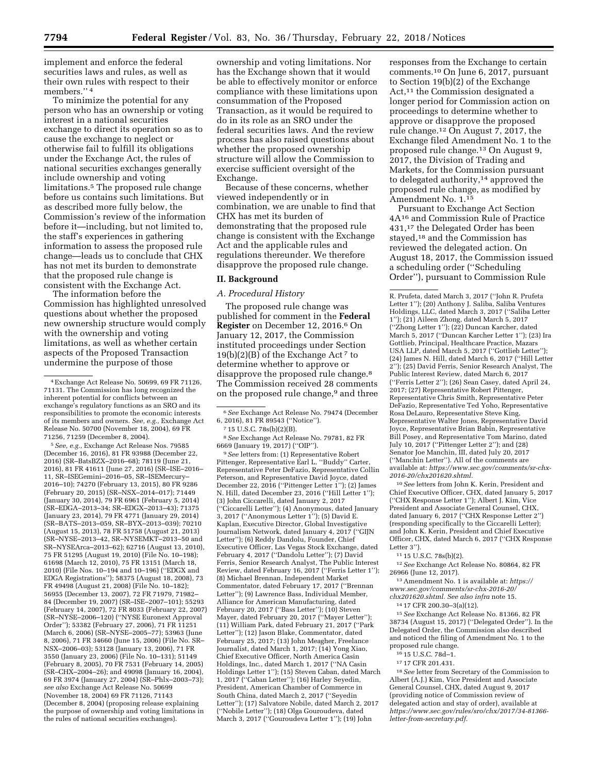implement and enforce the federal securities laws and rules, as well as their own rules with respect to their members.'' 4

To minimize the potential for any person who has an ownership or voting interest in a national securities exchange to direct its operation so as to cause the exchange to neglect or otherwise fail to fulfill its obligations under the Exchange Act, the rules of national securities exchanges generally include ownership and voting limitations.5 The proposed rule change before us contains such limitations. But as described more fully below, the Commission's review of the information before it—including, but not limited to, the staff's experiences in gathering information to assess the proposed rule change—leads us to conclude that CHX has not met its burden to demonstrate that the proposed rule change is consistent with the Exchange Act.

The information before the Commission has highlighted unresolved questions about whether the proposed new ownership structure would comply with the ownership and voting limitations, as well as whether certain aspects of the Proposed Transaction undermine the purpose of those

5*See, e.g.,* Exchange Act Release Nos. 79585 (December 16, 2016), 81 FR 93988 (December 22, 2016) (SR–BatsBZX–2016–68); 78119 (June 21, 2016), 81 FR 41611 (June 27, 2016) (SR–ISE–2016– 11, SR–ISEGemini–2016–05, SR–ISEMercury– 2016–10); 74270 (February 13, 2015), 80 FR 9286 (February 20, 2015) (SR–NSX–2014–017); 71449 (January 30, 2014), 79 FR 6961 (February 5, 2014) (SR–EDGA–2013–34; SR–EDGX–2013–43); 71375 (January 23, 2014), 79 FR 4771 (January 29, 2014) (SR–BATS–2013–059, SR–BYX–2013–039); 70210 (August 15, 2013), 78 FR 51758 (August 21, 2013) (SR–NYSE–2013–42, SR–NYSEMKT–2013–50 and SR–NYSEArca–2013–62); 62716 (August 13, 2010), 75 FR 51295 (August 19, 2010) (File No. 10–198); 61698 (March 12, 2010), 75 FR 13151 (March 18, 2010) (File Nos. 10–194 and 10–196) (''EDGX and EDGA Registrations''); 58375 (August 18, 2008), 73 FR 49498 (August 21, 2008) (File No. 10–182); 56955 (December 13, 2007), 72 FR 71979, 71982– 84 (December 19, 2007) (SR–ISE–2007–101); 55293 (February 14, 2007), 72 FR 8033 (February 22, 2007) (SR–NYSE–2006–120) (''NYSE Euronext Approval Order''); 53382 (February 27, 2006), 71 FR 11251 (March 6, 2006) (SR–NYSE–2005–77); 53963 (June 8, 2006), 71 FR 34660 (June 15, 2006) (File No. SR– NSX–2006–03); 53128 (January 13, 2006), 71 FR 3550 (January 23, 2006) (File No. 10–131); 51149 (February 8, 2005), 70 FR 7531 (February 14, 2005) (SR–CHX–2004–26); and 49098 (January 16, 2004), 69 FR 3974 (January 27, 2004) (SR–Phlx–2003–73); *see also* Exchange Act Release No. 50699 (November 18, 2004) 69 FR 71126, 71143 (December 8, 2004) (proposing release explaining the purpose of ownership and voting limitations in the rules of national securities exchanges).

ownership and voting limitations. Nor has the Exchange shown that it would be able to effectively monitor or enforce compliance with these limitations upon consummation of the Proposed Transaction, as it would be required to do in its role as an SRO under the federal securities laws. And the review process has also raised questions about whether the proposed ownership structure will allow the Commission to exercise sufficient oversight of the Exchange.

Because of these concerns, whether viewed independently or in combination, we are unable to find that CHX has met its burden of demonstrating that the proposed rule change is consistent with the Exchange Act and the applicable rules and regulations thereunder. We therefore disapprove the proposed rule change.

# **II. Background**

# *A. Procedural History*

The proposed rule change was published for comment in the **Federal Register** on December 12, 2016.6 On January 12, 2017, the Commission instituted proceedings under Section 19(b)(2)(B) of the Exchange Act  $^7$  to determine whether to approve or disapprove the proposed rule change.<sup>8</sup> The Commission received 28 comments on the proposed rule change,9 and three

8*See* Exchange Act Release No. 79781, 82 FR 6669 (January 19, 2017) (''OIP'').

9*See* letters from: (1) Representative Robert Pittenger, Representative Earl L. ''Buddy'' Carter, Representative Peter DeFazio, Representative Collin Peterson, and Representative David Joyce, dated December 22, 2016 (''Pittenger Letter 1''); (2) James N. Hill, dated December 23, 2016 (''Hill Letter 1''); (3) John Ciccarelli, dated January 2, 2017 (''Ciccarelli Letter''); (4) Anonymous, dated January 3, 2017 (''Anonymous Letter 1''); (5) David E. Kaplan, Executive Director, Global Investigative Journalism Network, dated January 4, 2017 (''GIJN Letter''); (6) Reddy Dandolu, Founder, Chief Executive Officer, Las Vegas Stock Exchange, dated February 4, 2017 (''Dandolu Letter''); (7) David Ferris, Senior Research Analyst, The Public Interest Review, dated February 16, 2017 (''Ferris Letter 1''); (8) Michael Brennan, Independent Market Commentator, dated February 17, 2017 (''Brennan Letter''); (9) Lawrence Bass, Individual Member, Alliance for American Manufacturing, dated February 20, 2017 (''Bass Letter''); (10) Steven Mayer, dated February 20, 2017 (''Mayer Letter''); (11) William Park, dated February 21, 2017 (''Park Letter''); (12) Jason Blake, Commentator, dated February 25, 2017; (13) John Meagher, Freelance Journalist, dated March 1, 2017; (14) Yong Xiao, Chief Executive Officer, North America Casin Holdings, Inc., dated March 1, 2017 (''NA Casin Holdings Letter 1''); (15) Steven Caban, dated March 1, 2017 (''Caban Letter''); (16) Harley Seyedin, President, American Chamber of Commerce in South China, dated March 2, 2017 (''Seyedin Letter''); (17) Salvatore Nobile, dated March 2, 2017 (''Nobile Letter''); (18) Olga Gouroudeva, dated March 3, 2017 (''Gouroudeva Letter 1''); (19) John

responses from the Exchange to certain comments.10 On June 6, 2017, pursuant to Section 19(b)(2) of the Exchange Act,<sup>11</sup> the Commission designated a longer period for Commission action on proceedings to determine whether to approve or disapprove the proposed rule change.12 On August 7, 2017, the Exchange filed Amendment No. 1 to the proposed rule change.<sup>13</sup> On August 9, 2017, the Division of Trading and Markets, for the Commission pursuant to delegated authority,<sup>14</sup> approved the proposed rule change, as modified by Amendment No. 1.15

Pursuant to Exchange Act Section 4A16 and Commission Rule of Practice 431,17 the Delegated Order has been stayed,18 and the Commission has reviewed the delegated action. On August 18, 2017, the Commission issued a scheduling order (''Scheduling Order''), pursuant to Commission Rule

R. Prufeta, dated March 3, 2017 (''John R. Prufeta Letter 1''); (20) Anthony J. Saliba, Saliba Ventures Holdings, LLC, dated March 3, 2017 (''Saliba Letter 1''); (21) Aileen Zhong, dated March 5, 2017 (''Zhong Letter 1''); (22) Duncan Karcher, dated March 5, 2017 (''Duncan Karcher Letter 1''); (23) Ira Gottlieb, Principal, Healthcare Practice, Mazars USA LLP, dated March 5, 2017 (''Gottlieb Letter''); (24) James N. Hill, dated March 6, 2017 (''Hill Letter 2''); (25) David Ferris, Senior Research Analyst, The Public Interest Review, dated March 6, 2017 (''Ferris Letter 2''); (26) Sean Casey, dated April 24, 2017; (27) Representative Robert Pittenger, Representative Chris Smith, Representative Peter DeFazio, Representative Ted Yoho, Representative Rosa DeLauro, Representative Steve King, Representative Walter Jones, Representative David Joyce, Representative Brian Babin, Representative Bill Posey, and Representative Tom Marino, dated July 10, 2017 (''Pittenger Letter 2''); and (28) Senator Joe Manchin, III, dated July 20, 2017 (''Manchin Letter''). All of the comments are available at: *[https://www.sec.gov/comments/sr-chx-](https://www.sec.gov/comments/sr-chx-2016-20/chx201620.shtml)[2016-20/chx201620.shtml.](https://www.sec.gov/comments/sr-chx-2016-20/chx201620.shtml)* 

10*See* letters from John K. Kerin, President and Chief Executive Officer, CHX, dated January 5, 2017 (''CHX Response Letter 1''); Albert J. Kim, Vice President and Associate General Counsel, CHX, dated January 6, 2017 (''CHX Response Letter 2'') (responding specifically to the Ciccarelli Letter); and John K. Kerin, President and Chief Executive Officer, CHX, dated March 6, 2017 (''CHX Response Letter 3'').

- 11 15 U.S.C. 78s(b)(2).
- 12*See* Exchange Act Release No. 80864, 82 FR 26966 (June 12, 2017).
- 13Amendment No. 1 is available at: *[https://](https://www.sec.gov/comments/sr-chx-2016-20/chx201620.shtml) [www.sec.gov/comments/sr-chx-2016-20/](https://www.sec.gov/comments/sr-chx-2016-20/chx201620.shtml)*
- *[chx201620.shtml.](https://www.sec.gov/comments/sr-chx-2016-20/chx201620.shtml) See also infra* note 15.
- 14 17 CFR 200.30–3(a)(12).

15*See* Exchange Act Release No. 81366, 82 FR 38734 (August 15, 2017) (''Delegated Order''). In the Delegated Order, the Commission also described and noticed the filing of Amendment No. 1 to the proposed rule change.

- 16 15 U.S.C. 78d–1.
- 17 17 CFR 201.431.

18*See* letter from Secretary of the Commission to Albert (A.J.) Kim, Vice President and Associate General Counsel, CHX, dated August 9, 2017 (providing notice of Commission review of delegated action and stay of order), available at *[https://www.sec.gov/rules/sro/chx/2017/34-81366](https://www.sec.gov/rules/sro/chx/2017/34-81366-letter-from-secretary.pdf) [letter-from-secretary.pdf.](https://www.sec.gov/rules/sro/chx/2017/34-81366-letter-from-secretary.pdf)* 

<sup>4</sup>Exchange Act Release No. 50699, 69 FR 71126, 71131. The Commission has long recognized the inherent potential for conflicts between an exchange's regulatory functions as an SRO and its responsibilities to promote the economic interests of its members and owners. *See, e.g.,* Exchange Act Release No. 50700 (November 18, 2004), 69 FR 71256, 71259 (December 8, 2004).

<sup>6</sup>*See* Exchange Act Release No. 79474 (December 6, 2016), 81 FR 89543 (''Notice'').

<sup>7</sup> 15 U.S.C. 78s(b)(2)(B).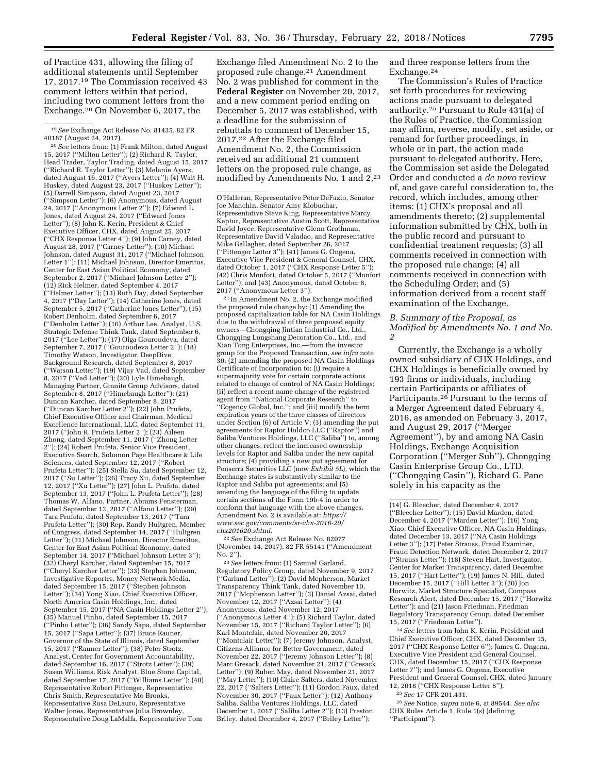of Practice 431, allowing the filing of additional statements until September 17, 2017.19 The Commission received 43 comment letters within that period, including two comment letters from the Exchange.20 On November 6, 2017, the

20*See* letters from: (1) Frank Milton, dated August 15, 2017 (''Milton Letter''); (2) Richard R. Taylor, Head Trader, Taylor Trading, dated August 15, 2017 (''Richard R. Taylor Letter''); (3) Melanie Ayers, dated August 16, 2017 (''Ayers Letter''); (4) Walt H. Huskey, dated August 23, 2017 (''Huskey Letter''); (5) Darrell Simpson, dated August 23, 2017 (''Simpson Letter''); (6) Anonymous, dated August 24, 2017 (''Anonymous Letter 2''); (7) Edward L. Jones, dated August 24, 2017 (''Edward Jones Letter''); (8) John K. Kerin, President & Chief Executive Officer, CHX, dated August 25, 2017 (''CHX Response Letter 4''); (9) John Carney, dated August 28, 2017 (''Carney Letter''); (10) Michael Johnson, dated August 31, 2017 (''Michael Johnson Letter 1''); (11) Michael Johnson, Director Emeritus, Center for East Asian Political Economy, dated September 2, 2017 (''Michael Johnson Letter 2''); (12) Rick Helmer, dated September 4, 2017 (''Helmer Letter''); (13) Ruth Day, dated September 4, 2017 (''Day Letter''); (14) Catherine Jones, dated September 5, 2017 (''Catherine Jones Letter''); (15) Robert Denholm, dated September 6, 2017 (''Denholm Letter''); (16) Arthur Lee, Analyst, U.S. Strategic Defense Think Tank, dated September 6, 2017 (''Lee Letter''); (17) Olga Gouroudeva, dated September 7, 2017 (''Gouroudeva Letter 2''); (18) Timothy Watson, Investigator, DeepDive Background Research, dated September 8, 2017 (''Watson Letter''); (19) Vijay Vad, dated September 8, 2017 (''Vad Letter''); (20) Lyle Himebaugh, Managing Partner, Granite Group Advisors, dated September 8, 2017 (''Himebaugh Letter''); (21) Duncan Karcher, dated September 8, 2017 (''Duncan Karcher Letter 2''); (22) John Prufeta, Chief Executive Officer and Chairman, Medical Excellence International, LLC, dated September 11, 2017 (''John R. Prufeta Letter 2''); (23) Aileen Zhong, dated September 11, 2017 (''Zhong Letter 2''); (24) Robert Prufeta, Senior Vice President, Executive Search, Solomon Page Healthcare & Life Sciences, dated September 12, 2017 (''Robert Prufeta Letter''); (25) Stella Su, dated September 12, 2017 (''Su Letter''); (26) Tracy Xu, dated September 12, 2017 (''Xu Letter''); (27) John L. Prufeta, dated September 13, 2017 (''John L. Prufeta Letter''); (28) Thomas W. Alfano, Partner, Abrams Fensterman, dated September 13, 2017 (''Alfano Letter''); (29) Tara Prufeta, dated September 13, 2017 (''Tara Prufeta Letter''); (30) Rep. Randy Hultgren, Member of Congress, dated September 14, 2017 (''Hultgren Letter''); (31) Michael Johnson, Director Emeritus, Center for East Asian Political Economy, dated September 14, 2017 (''Michael Johnson Letter 3''); (32) Cheryl Karcher, dated September 15, 2017 (''Cheryl Karcher Letter''); (33) Stephen Johnson, Investigative Reporter, Money Network Media, dated September 15, 2017 (''Stephen Johnson Letter''); (34) Yong Xiao, Chief Executive Officer, North America Casin Holdings, Inc., dated September 15, 2017 (''NA Casin Holdings Letter 2''); (35) Manuel Pinho, dated September 15, 2017 (''Pinho Letter''); (36) Sandy Sapa, dated September 15, 2017 (''Sapa Letter''); (37) Bruce Rauner, Governor of the State of Illinois, dated September 15, 2017 (''Rauner Letter''); (38) Peter Strotz, Analyst, Center for Government Accountability, dated September 16, 2017 (''Strotz Letter''); (39) Susan Williams, Risk Analyst, Blue Stone Capital, dated September 17, 2017 (''Williams Letter''); (40) Representative Robert Pittenger, Representative Chris Smith, Representative Mo Brooks, Representative Rosa DeLauro, Representative Walter Jones, Representative Julia Brownley, Representative Doug LaMalfa, Representative Tom

Exchange filed Amendment No. 2 to the proposed rule change.21 Amendment No. 2 was published for comment in the **Federal Register** on November 20, 2017, and a new comment period ending on December 5, 2017 was established, with a deadline for the submission of rebuttals to comment of December 15, 2017.22 After the Exchange filed Amendment No. 2, the Commission received an additional 21 comment letters on the proposed rule change, as modified by Amendments No. 1 and 2,23

21 In Amendment No. 2, the Exchange modified the proposed rule change by: (1) Amending the proposed capitalization table for NA Casin Holdings due to the withdrawal of three proposed equity owners—Chongqing Jintian Industrial Co., Ltd., Chongqing Longshang Decoration Co., Ltd., and Xian Tong Enterprises, Inc.—from the investor group for the Proposed Transaction, *see infra* note 30; (2) amending the proposed NA Casin Holdings Certificate of Incorporation to: (i) require a supermajority vote for certain corporate actions related to change of control of NA Casin Holdings; (ii) reflect a recent name change of the registered agent from ''National Corporate Research'' to ''Cogency Global, Inc.''; and (iii) modify the term expiration years of the three classes of directors under Section (6) of Article V; (3) amending the put agreements for Raptor Holdco LLC (''Raptor'') and Saliba Ventures Holdings, LLC (''Saliba'') to, among other changes, reflect the increased ownership levels for Raptor and Saliba under the new capital structure; (4) providing a new put agreement for Penserra Securities LLC (new *Exhibit 5L*), which the Exchange states is substantively similar to the Raptor and Saliba put agreements; and (5) amending the language of the filing to update certain sections of the Form 19b-4 in order to conform that language with the above changes. Amendment No. 2 is available at: *[https://](https://www.sec.gov/comments/sr-chx-2016-20/chx201620.shtml) [www.sec.gov/comments/sr-chx-2016-20/](https://www.sec.gov/comments/sr-chx-2016-20/chx201620.shtml) [chx201620.shtml.](https://www.sec.gov/comments/sr-chx-2016-20/chx201620.shtml)* 

22*See* Exchange Act Release No. 82077 (November 14, 2017), 82 FR 55141 (''Amendment No. 2'').

23*See* letters from: (1) Samuel Garland, Regulatory Policy Group, dated November 9, 2017 (''Garland Letter''); (2) David Mcpherson, Market Transparency Think Tank, dated November 10, 2017 (''Mcpherson Letter''); (3) Daniel Azsai, dated November 12, 2017 (''Azsai Letter''); (4) Anonymous, dated November 12, 2017 (''Anonymous Letter 4''); (5) Richard Taylor, dated November 15, 2017 (''Richard Taylor Letter''); (6) Karl Montclair, dated November 20, 2017 (''Montclair Letter''); (7) Jeremy Johnson, Analyst, Citizens Alliance for Better Government, dated November 22, 2017 (''Jeremy Johnson Letter''); (8) Marc Gresack, dated November 21, 2017 (''Gresack Letter''); (9) Ruben May, dated November 21, 2017 (''May Letter''); (10) Claire Salters, dated November 22, 2017 (''Salters Letter''); (11) Gordon Faux, dated November 30, 2017 (''Faux Letter''); (12) Anthony Saliba, Saliba Ventures Holdings, LLC, dated December 1, 2017 (''Saliba Letter 2''); (13) Preston Briley, dated December 4, 2017 (''Briley Letter'');

and three response letters from the Exchange.24

The Commission's Rules of Practice set forth procedures for reviewing actions made pursuant to delegated authority.25 Pursuant to Rule 431(a) of the Rules of Practice, the Commission may affirm, reverse, modify, set aside, or remand for further proceedings, in whole or in part, the action made pursuant to delegated authority. Here, the Commission set aside the Delegated Order and conducted a *de novo* review of, and gave careful consideration to, the record, which includes, among other items: (1) CHX's proposal and all amendments thereto; (2) supplemental information submitted by CHX, both in the public record and pursuant to confidential treatment requests; (3) all comments received in connection with the proposed rule change; (4) all comments received in connection with the Scheduling Order; and (5) information derived from a recent staff examination of the Exchange.

# *B. Summary of the Proposal, as Modified by Amendments No. 1 and No. 2*

Currently, the Exchange is a wholly owned subsidiary of CHX Holdings, and CHX Holdings is beneficially owned by 193 firms or individuals, including certain Participants or affiliates of Participants.26 Pursuant to the terms of a Merger Agreement dated February 4, 2016, as amended on February 3, 2017, and August 29, 2017 (''Merger Agreement''), by and among NA Casin Holdings, Exchange Acquisition Corporation (''Merger Sub''), Chongqing Casin Enterprise Group Co., LTD. (''Chongqing Casin''), Richard G. Pane solely in his capacity as the

24*See* letters from John K. Kerin, President and Chief Executive Officer, CHX, dated December 15, 2017 (''CHX Response Letter 6''); James G. Ongena, Executive Vice President and General Counsel, CHX, dated December 15, 2017 (''CHX Response Letter 7''); and James G. Ongena, Executive President and General Counsel, CHX, dated January 12, 2018 (''CHX Response Letter 8'').

25*See* 17 CFR 201.431.

26*See* Notice, *supra* note 6, at 89544. *See also*  CHX Rules Article 1, Rule 1(s) (defining ''Participant'').

<sup>19</sup>*See* Exchange Act Release No. 81435, 82 FR 40187 (August 24, 2017).

O'Halleran, Representative Peter DeFazio, Senator Joe Manchin, Senator Amy Klobuchar, Representative Steve King, Representative Marcy Kaptur, Representative Austin Scott, Representative David Joyce, Representative Glenn Grothman, Representative David Valadao, and Representative Mike Gallagher, dated September 26, 2017 (''Pittenger Letter 3''); (41) James G. Ongena, Executive Vice President & General Counsel, CHX, dated October 1, 2017 ("CHX Response Letter 5" (42) Chris Monfort, dated October 5, 2017 (''Monfort Letter''); and (43) Anonymous, dated October 8, 2017 (''Anonymous Letter 3'').

<sup>(14)</sup> G. Bleecher, dated December 4, 2017 (''Bleecher Letter''); (15) David Marden, dated December 4, 2017 (''Marden Letter''); (16) Yong Xiao, Chief Executive Officer, NA Casin Holdings, dated December 13, 2017 (''NA Casin Holdings Letter 3''); (17) Peter Strauss, Fraud Examiner, Fraud Detection Network, dated December 2, 2017 (''Strauss Letter''); (18) Steven Hart, Investigator, Center for Market Transparency, dated December 15, 2017 (''Hart Letter''); (19) James N. Hill, dated December 15, 2017 (''Hill Letter 3''); (20) Jon Horwitz, Market Structure Specialist, Compass Research Alert, dated December 15, 2017 (''Horwitz Letter''); and (21) Jason Friedman, Friedman Regulatory Transparency Group, dated December 15, 2017 (''Friedman Letter'').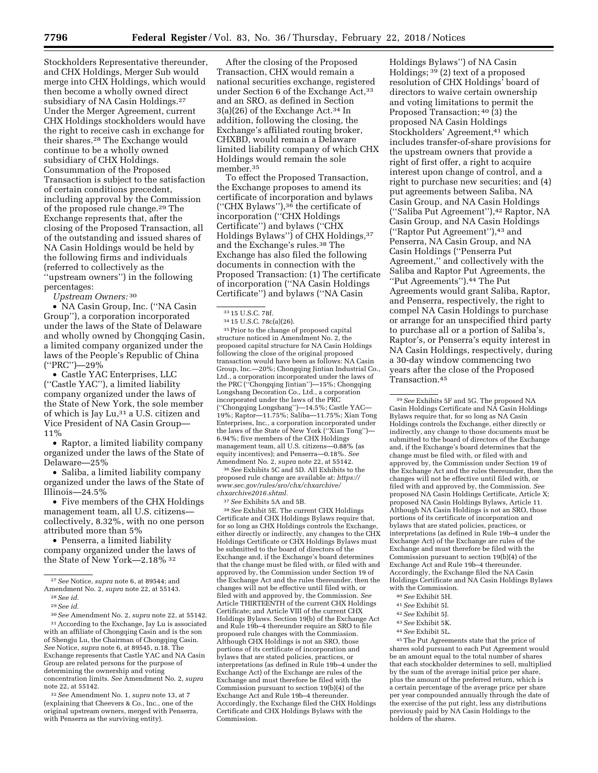Stockholders Representative thereunder, and CHX Holdings, Merger Sub would merge into CHX Holdings, which would then become a wholly owned direct subsidiary of NA Casin Holdings.<sup>27</sup> Under the Merger Agreement, current CHX Holdings stockholders would have the right to receive cash in exchange for their shares.28 The Exchange would continue to be a wholly owned subsidiary of CHX Holdings. Consummation of the Proposed Transaction is subject to the satisfaction of certain conditions precedent, including approval by the Commission of the proposed rule change.29 The Exchange represents that, after the closing of the Proposed Transaction, all of the outstanding and issued shares of NA Casin Holdings would be held by the following firms and individuals (referred to collectively as the ''upstream owners'') in the following percentages:

*Upstream Owners:* 30

• NA Casin Group, Inc. (''NA Casin Group''), a corporation incorporated under the laws of the State of Delaware and wholly owned by Chongqing Casin, a limited company organized under the laws of the People's Republic of China (''PRC'')—29%

• Castle YAC Enterprises, LLC (''Castle YAC''), a limited liability company organized under the laws of the State of New York, the sole member of which is Jay Lu,<sup>31</sup> a U.S. citizen and Vice President of NA Casin Group— 11%

• Raptor, a limited liability company organized under the laws of the State of Delaware—25%

• Saliba, a limited liability company organized under the laws of the State of Illinois—24.5%

• Five members of the CHX Holdings management team, all U.S. citizens collectively, 8.32%, with no one person attributed more than 5%

• Penserra, a limited liability company organized under the laws of the State of New York—2.18% 32

30*See* Amendment No. 2, *supra* note 22, at 55142. 31According to the Exchange, Jay Lu is associated with an affiliate of Chongqing Casin and is the son of Shengju Lu, the Chairman of Chongqing Casin. *See* Notice, *supra* note 6, at 89545, n.18. The Exchange represents that Castle YAC and NA Casin Group are related persons for the purpose of determining the ownership and voting concentration limits. *See* Amendment No. 2, *supra*  note 22, at 55142.

32*See* Amendment No. 1, *supra* note 13, at 7 (explaining that Cheevers & Co., Inc., one of the original upstream owners, merged with Penserra, with Penserra as the surviving entity).

After the closing of the Proposed Transaction, CHX would remain a national securities exchange, registered under Section 6 of the Exchange Act, 33 and an SRO, as defined in Section 3(a)(26) of the Exchange Act.34 In addition, following the closing, the Exchange's affiliated routing broker, CHXBD, would remain a Delaware limited liability company of which CHX Holdings would remain the sole member.35

To effect the Proposed Transaction, the Exchange proposes to amend its certificate of incorporation and bylaws (''CHX Bylaws''),36 the certificate of incorporation (''CHX Holdings Certificate'') and bylaws (''CHX Holdings Bylaws'') of CHX Holdings,37 and the Exchange's rules.38 The Exchange has also filed the following documents in connection with the Proposed Transaction: (1) The certificate of incorporation (''NA Casin Holdings Certificate'') and bylaws (''NA Casin

<sup>33</sup> 15 U.S.C. 78f.<br><sup>34</sup> 15 U.S.C. 78c(a)(26).<br><sup>35</sup> Prior to the change of proposed capital structure noticed in Amendment No. 2, the proposed capital structure for NA Casin Holdings following the close of the original proposed transaction would have been as follows: NA Casin Group, Inc.—20%; Chongqing Jintian Industrial Co., Ltd., a corporation incorporated under the laws of the PRC (''Chongqing Jintian'')—15%; Chongqing Longshang Decoration Co., Ltd., a corporation incorporated under the laws of the PRC (''Chongqing Longshang'')—14.5%; Castle YAC— 19%; Raptor—11.75%; Saliba—11.75%; Xian Tong Enterprises, Inc., a corporation incorporated under the laws of the State of New York (''Xian Tong'')— 6.94%; five members of the CHX Holdings management team, all U.S. citizens—0.88% (as equity incentives); and Penserra—0.18%. *See*  Amendment No. 2, *supra* note 22, at 55142.

36*See* Exhibits 5C and 5D. All Exhibits to the proposed rule change are available at: *[https://](https://www.sec.gov/rules/sro/chx/chxarchive/chxarchive2016.shtml) [www.sec.gov/rules/sro/chx/chxarchive/](https://www.sec.gov/rules/sro/chx/chxarchive/chxarchive2016.shtml) [chxarchive2016.shtml.](https://www.sec.gov/rules/sro/chx/chxarchive/chxarchive2016.shtml)* 

37*See* Exhibits 5A and 5B.

38*See* Exhibit 5E. The current CHX Holdings Certificate and CHX Holdings Bylaws require that, for so long as CHX Holdings controls the Exchange either directly or indirectly, any changes to the CHX Holdings Certificate or CHX Holdings Bylaws must be submitted to the board of directors of the Exchange and, if the Exchange's board determines that the change must be filed with, or filed with and approved by, the Commission under Section 19 of the Exchange Act and the rules thereunder, then the changes will not be effective until filed with, or filed with and approved by, the Commission. *See*  Article THIRTEENTH of the current CHX Holdings Certificate; and Article VIII of the current CHX Holdings Bylaws. Section 19(b) of the Exchange Act and Rule 19b–4 thereunder require an SRO to file proposed rule changes with the Commission. Although CHX Holdings is not an SRO, those portions of its certificate of incorporation and bylaws that are stated policies, practices, or interpretations (as defined in Rule 19b–4 under the Exchange Act) of the Exchange are rules of the Exchange and must therefore be filed with the Commission pursuant to section 19(b)(4) of the Exchange Act and Rule 19b–4 thereunder. Accordingly, the Exchange filed the CHX Holdings Certificate and CHX Holdings Bylaws with the Commission.

Holdings Bylaws'') of NA Casin Holdings; 39 (2) text of a proposed resolution of CHX Holdings' board of directors to waive certain ownership and voting limitations to permit the Proposed Transaction; 40 (3) the proposed NA Casin Holdings Stockholders' Agreement,<sup>41</sup> which includes transfer-of-share provisions for the upstream owners that provide a right of first offer, a right to acquire interest upon change of control, and a right to purchase new securities; and (4) put agreements between Saliba, NA Casin Group, and NA Casin Holdings (''Saliba Put Agreement''),42 Raptor, NA Casin Group, and NA Casin Holdings (''Raptor Put Agreement''),43 and Penserra, NA Casin Group, and NA Casin Holdings (''Penserra Put Agreement,'' and collectively with the Saliba and Raptor Put Agreements, the ''Put Agreements'').44 The Put Agreements would grant Saliba, Raptor, and Penserra, respectively, the right to compel NA Casin Holdings to purchase or arrange for an unspecified third party to purchase all or a portion of Saliba's, Raptor's, or Penserra's equity interest in NA Casin Holdings, respectively, during a 30-day window commencing two years after the close of the Proposed Transaction.45

39*See* Exhibits 5F and 5G. The proposed NA Casin Holdings Certificate and NA Casin Holdings Bylaws require that, for so long as NA Casin Holdings controls the Exchange, either directly or indirectly, any change to those documents must be submitted to the board of directors of the Exchange and, if the Exchange's board determines that the change must be filed with, or filed with and approved by, the Commission under Section 19 of the Exchange Act and the rules thereunder, then the changes will not be effective until filed with, or filed with and approved by, the Commission. *See*  proposed NA Casin Holdings Certificate, Article X; proposed NA Casin Holdings Bylaws, Article 11. Although NA Casin Holdings is not an SRO, those portions of its certificate of incorporation and bylaws that are stated policies, practices, or interpretations (as defined in Rule 19b–4 under the Exchange Act) of the Exchange are rules of the Exchange and must therefore be filed with the Commission pursuant to section 19(b)(4) of the Exchange Act and Rule 19b–4 thereunder. Accordingly, the Exchange filed the NA Casin Holdings Certificate and NA Casin Holdings Bylaws with the Commission.

- 40*See* Exhibit 5H.
- 41*See* Exhibit 5I.
- 42*See* Exhibit 5J.
- 43*See* Exhibit 5K.
- 44*See* Exhibit 5L.

45The Put Agreements state that the price of shares sold pursuant to each Put Agreement would be an amount equal to the total number of shares that each stockholder determines to sell, multiplied by the sum of the average initial price per share, plus the amount of the preferred return, which is a certain percentage of the average price per share per year compounded annually through the date of the exercise of the put right, less any distributions previously paid by NA Casin Holdings to the holders of the shares.

<sup>27</sup>*See* Notice, *supra* note 6, at 89544; and Amendment No. 2, *supra* note 22, at 55143.

<sup>28</sup>*See id.* 

<sup>29</sup>*See id.*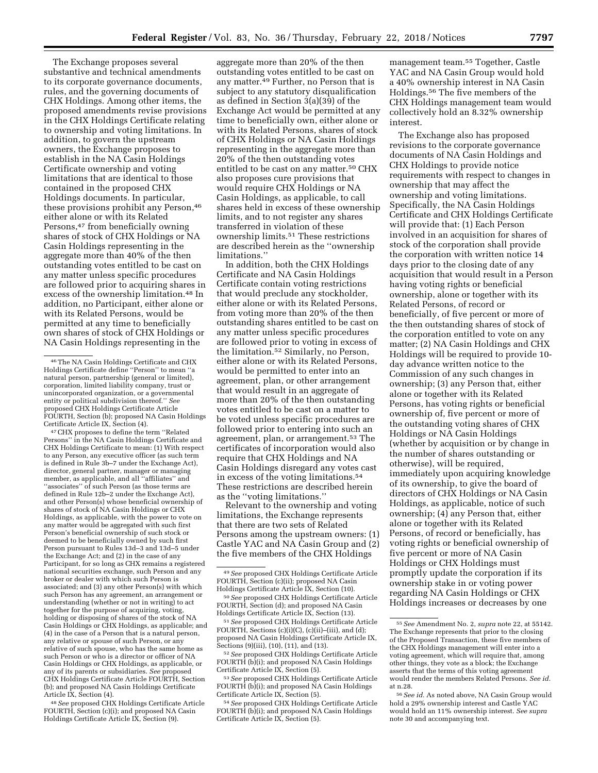The Exchange proposes several substantive and technical amendments to its corporate governance documents, rules, and the governing documents of CHX Holdings. Among other items, the proposed amendments revise provisions in the CHX Holdings Certificate relating to ownership and voting limitations. In addition, to govern the upstream owners, the Exchange proposes to establish in the NA Casin Holdings Certificate ownership and voting limitations that are identical to those contained in the proposed CHX Holdings documents. In particular, these provisions prohibit any Person,46 either alone or with its Related Persons,47 from beneficially owning shares of stock of CHX Holdings or NA Casin Holdings representing in the aggregate more than 40% of the then outstanding votes entitled to be cast on any matter unless specific procedures are followed prior to acquiring shares in excess of the ownership limitation.48 In addition, no Participant, either alone or with its Related Persons, would be permitted at any time to beneficially own shares of stock of CHX Holdings or NA Casin Holdings representing in the

47CHX proposes to define the term ''Related Persons'' in the NA Casin Holdings Certificate and CHX Holdings Certificate to mean: (1) With respect to any Person, any executive officer (as such term is defined in Rule 3b–7 under the Exchange Act), director, general partner, manager or managing member, as applicable, and all ''affiliates'' and ''associates'' of such Person (as those terms are defined in Rule 12b–2 under the Exchange Act), and other Person(s) whose beneficial ownership of shares of stock of NA Casin Holdings or CHX Holdings, as applicable, with the power to vote on any matter would be aggregated with such first Person's beneficial ownership of such stock or deemed to be beneficially owned by such first Person pursuant to Rules 13d–3 and 13d–5 under the Exchange Act; and (2) in the case of any Participant, for so long as CHX remains a registered national securities exchange, such Person and any broker or dealer with which such Person is associated; and (3) any other Person(s) with which such Person has any agreement, an arrangement or understanding (whether or not in writing) to act together for the purpose of acquiring, voting, holding or disposing of shares of the stock of NA Casin Holdings or CHX Holdings, as applicable; and (4) in the case of a Person that is a natural person, any relative or spouse of such Person, or any relative of such spouse, who has the same home as such Person or who is a director or officer of NA Casin Holdings or CHX Holdings, as applicable, or any of its parents or subsidiaries. *See* proposed CHX Holdings Certificate Article FOURTH, Section (b); and proposed NA Casin Holdings Certificate

<sup>48</sup> See proposed CHX Holdings Certificate Article FOURTH, Section (c)(i); and proposed NA Casin Holdings Certificate Article IX, Section (9).

aggregate more than 20% of the then outstanding votes entitled to be cast on any matter.49 Further, no Person that is subject to any statutory disqualification as defined in Section 3(a)(39) of the Exchange Act would be permitted at any time to beneficially own, either alone or with its Related Persons, shares of stock of CHX Holdings or NA Casin Holdings representing in the aggregate more than 20% of the then outstanding votes entitled to be cast on any matter.50 CHX also proposes cure provisions that would require CHX Holdings or NA Casin Holdings, as applicable, to call shares held in excess of these ownership limits, and to not register any shares transferred in violation of these ownership limits.51 These restrictions are described herein as the ''ownership limitations.''

In addition, both the CHX Holdings Certificate and NA Casin Holdings Certificate contain voting restrictions that would preclude any stockholder, either alone or with its Related Persons, from voting more than 20% of the then outstanding shares entitled to be cast on any matter unless specific procedures are followed prior to voting in excess of the limitation.52 Similarly, no Person, either alone or with its Related Persons, would be permitted to enter into an agreement, plan, or other arrangement that would result in an aggregate of more than 20% of the then outstanding votes entitled to be cast on a matter to be voted unless specific procedures are followed prior to entering into such an agreement, plan, or arrangement.53 The certificates of incorporation would also require that CHX Holdings and NA Casin Holdings disregard any votes cast in excess of the voting limitations.54 These restrictions are described herein as the ''voting limitations.''

Relevant to the ownership and voting limitations, the Exchange represents that there are two sets of Related Persons among the upstream owners: (1) Castle YAC and NA Casin Group and (2) the five members of the CHX Holdings

51*See* proposed CHX Holdings Certificate Article FOURTH, Sections (c)(i)(C), (c)(ii)–(iii), and (d); proposed NA Casin Holdings Certificate Article IX, Sections (9)(iii), (10), (11), and (13).

management team.55 Together, Castle YAC and NA Casin Group would hold a 40% ownership interest in NA Casin Holdings.56 The five members of the CHX Holdings management team would collectively hold an 8.32% ownership interest.

The Exchange also has proposed revisions to the corporate governance documents of NA Casin Holdings and CHX Holdings to provide notice requirements with respect to changes in ownership that may affect the ownership and voting limitations. Specifically, the NA Casin Holdings Certificate and CHX Holdings Certificate will provide that: (1) Each Person involved in an acquisition for shares of stock of the corporation shall provide the corporation with written notice 14 days prior to the closing date of any acquisition that would result in a Person having voting rights or beneficial ownership, alone or together with its Related Persons, of record or beneficially, of five percent or more of the then outstanding shares of stock of the corporation entitled to vote on any matter; (2) NA Casin Holdings and CHX Holdings will be required to provide 10 day advance written notice to the Commission of any such changes in ownership; (3) any Person that, either alone or together with its Related Persons, has voting rights or beneficial ownership of, five percent or more of the outstanding voting shares of CHX Holdings or NA Casin Holdings (whether by acquisition or by change in the number of shares outstanding or otherwise), will be required, immediately upon acquiring knowledge of its ownership, to give the board of directors of CHX Holdings or NA Casin Holdings, as applicable, notice of such ownership; (4) any Person that, either alone or together with its Related Persons, of record or beneficially, has voting rights or beneficial ownership of five percent or more of NA Casin Holdings or CHX Holdings must promptly update the corporation if its ownership stake in or voting power regarding NA Casin Holdings or CHX Holdings increases or decreases by one

<sup>46</sup>The NA Casin Holdings Certificate and CHX Holdings Certificate define ''Person'' to mean ''a natural person, partnership (general or limited), corporation, limited liability company, trust or unincorporated organization, or a governmental entity or political subdivision thereof.'' *See*  proposed CHX Holdings Certificate Article FOURTH, Section (b); proposed NA Casin Holdings Certificate Article IX, Section (4).

<sup>49</sup>*See* proposed CHX Holdings Certificate Article FOURTH, Section (c)(ii); proposed NA Casin Holdings Certificate Article IX, Section (10).

<sup>50</sup>*See* proposed CHX Holdings Certificate Article FOURTH, Section (d); and proposed NA Casin Holdings Certificate Article IX, Section (13).

<sup>52</sup>*See* proposed CHX Holdings Certificate Article FOURTH (b)(i); and proposed NA Casin Holdings Certificate Article IX, Section (5).

<sup>53</sup>*See* proposed CHX Holdings Certificate Article FOURTH (b)(i); and proposed NA Casin Holdings Certificate Article IX, Section (5).

<sup>54</sup>*See* proposed CHX Holdings Certificate Article FOURTH (b)(i); and proposed NA Casin Holdings Certificate Article IX, Section (5).

<sup>55</sup>*See* Amendment No. 2, *supra* note 22, at 55142. The Exchange represents that prior to the closing of the Proposed Transaction, these five members of the CHX Holdings management will enter into a voting agreement, which will require that, among other things, they vote as a block; the Exchange asserts that the terms of this voting agreement would render the members Related Persons. *See id.*  at n.28.

<sup>56</sup>*See id.* As noted above, NA Casin Group would hold a 29% ownership interest and Castle YAC would hold an 11% ownership interest. *See supra*  note 30 and accompanying text.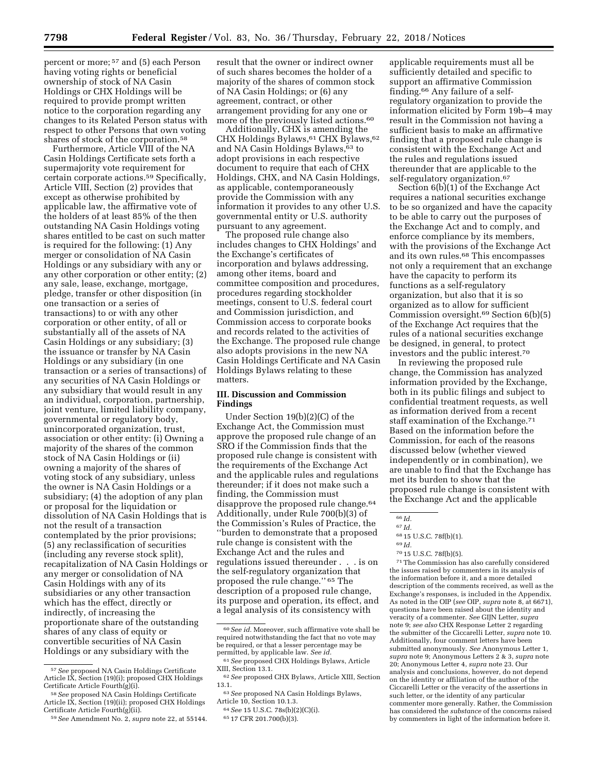percent or more; 57 and (5) each Person having voting rights or beneficial ownership of stock of NA Casin Holdings or CHX Holdings will be required to provide prompt written notice to the corporation regarding any changes to its Related Person status with respect to other Persons that own voting shares of stock of the corporation.58

Furthermore, Article VIII of the NA Casin Holdings Certificate sets forth a supermajority vote requirement for certain corporate actions.59 Specifically, Article VIII, Section (2) provides that except as otherwise prohibited by applicable law, the affirmative vote of the holders of at least 85% of the then outstanding NA Casin Holdings voting shares entitled to be cast on such matter is required for the following: (1) Any merger or consolidation of NA Casin Holdings or any subsidiary with any or any other corporation or other entity; (2) any sale, lease, exchange, mortgage, pledge, transfer or other disposition (in one transaction or a series of transactions) to or with any other corporation or other entity, of all or substantially all of the assets of NA Casin Holdings or any subsidiary; (3) the issuance or transfer by NA Casin Holdings or any subsidiary (in one transaction or a series of transactions) of any securities of NA Casin Holdings or any subsidiary that would result in any an individual, corporation, partnership, joint venture, limited liability company, governmental or regulatory body, unincorporated organization, trust, association or other entity: (i) Owning a majority of the shares of the common stock of NA Casin Holdings or (ii) owning a majority of the shares of voting stock of any subsidiary, unless the owner is NA Casin Holdings or a subsidiary; (4) the adoption of any plan or proposal for the liquidation or dissolution of NA Casin Holdings that is not the result of a transaction contemplated by the prior provisions; (5) any reclassification of securities (including any reverse stock split), recapitalization of NA Casin Holdings or any merger or consolidation of NA Casin Holdings with any of its subsidiaries or any other transaction which has the effect, directly or indirectly, of increasing the proportionate share of the outstanding shares of any class of equity or convertible securities of NA Casin Holdings or any subsidiary with the

59*See* Amendment No. 2, *supra* note 22, at 55144.

result that the owner or indirect owner of such shares becomes the holder of a majority of the shares of common stock of NA Casin Holdings; or (6) any agreement, contract, or other arrangement providing for any one or more of the previously listed actions.60

Additionally, CHX is amending the CHX Holdings Bylaws, 61 CHX Bylaws, 62 and NA Casin Holdings Bylaws,<sup>63</sup> to adopt provisions in each respective document to require that each of CHX Holdings, CHX, and NA Casin Holdings, as applicable, contemporaneously provide the Commission with any information it provides to any other U.S. governmental entity or U.S. authority pursuant to any agreement.

The proposed rule change also includes changes to CHX Holdings' and the Exchange's certificates of incorporation and bylaws addressing, among other items, board and committee composition and procedures, procedures regarding stockholder meetings, consent to U.S. federal court and Commission jurisdiction, and Commission access to corporate books and records related to the activities of the Exchange. The proposed rule change also adopts provisions in the new NA Casin Holdings Certificate and NA Casin Holdings Bylaws relating to these matters.

# **III. Discussion and Commission Findings**

Under Section 19(b)(2)(C) of the Exchange Act, the Commission must approve the proposed rule change of an SRO if the Commission finds that the proposed rule change is consistent with the requirements of the Exchange Act and the applicable rules and regulations thereunder; if it does not make such a finding, the Commission must disapprove the proposed rule change.<sup>64</sup> Additionally, under Rule 700(b)(3) of the Commission's Rules of Practice, the ''burden to demonstrate that a proposed rule change is consistent with the Exchange Act and the rules and regulations issued thereunder . . . is on the self-regulatory organization that proposed the rule change.'' 65 The description of a proposed rule change, its purpose and operation, its effect, and a legal analysis of its consistency with

65 17 CFR 201.700(b)(3).

applicable requirements must all be sufficiently detailed and specific to support an affirmative Commission finding.66 Any failure of a selfregulatory organization to provide the information elicited by Form 19b–4 may result in the Commission not having a sufficient basis to make an affirmative finding that a proposed rule change is consistent with the Exchange Act and the rules and regulations issued thereunder that are applicable to the self-regulatory organization.<sup>67</sup>

Section 6(b)(1) of the Exchange Act requires a national securities exchange to be so organized and have the capacity to be able to carry out the purposes of the Exchange Act and to comply, and enforce compliance by its members, with the provisions of the Exchange Act and its own rules.68 This encompasses not only a requirement that an exchange have the capacity to perform its functions as a self-regulatory organization, but also that it is so organized as to allow for sufficient Commission oversight.69 Section 6(b)(5) of the Exchange Act requires that the rules of a national securities exchange be designed, in general, to protect investors and the public interest.70

In reviewing the proposed rule change, the Commission has analyzed information provided by the Exchange, both in its public filings and subject to confidential treatment requests, as well as information derived from a recent staff examination of the Exchange.<sup>71</sup> Based on the information before the Commission, for each of the reasons discussed below (whether viewed independently or in combination), we are unable to find that the Exchange has met its burden to show that the proposed rule change is consistent with the Exchange Act and the applicable

70 15 U.S.C. 78f(b)(5).

71The Commission has also carefully considered the issues raised by commenters in its analysis of the information before it, and a more detailed description of the comments received, as well as the Exchange's responses, is included in the Appendix. As noted in the OIP (*see* OIP, *supra* note 8, at 6671), questions have been raised about the identity and veracity of a commenter. *See* GIJN Letter, *supra*  note 9; *see also* CHX Response Letter 2 regarding the submitter of the Ciccarelli Letter, *supra* note 10. Additionally, four comment letters have been submitted anonymously. *See* Anonymous Letter 1, *supra* note 9; Anonymous Letters 2 & 3, *supra* note 20; Anonymous Letter 4, *supra* note 23. Our analysis and conclusions, however, do not depend on the identity or affiliation of the author of the Ciccarelli Letter or the veracity of the assertions in such letter, or the identity of any particular commenter more generally. Rather, the Commission has considered the *substance* of the concerns raised by commenters in light of the information before it.

<sup>57</sup>*See* proposed NA Casin Holdings Certificate Article IX, Section (19)(i); proposed CHX Holdings Certificate Article Fourth(g)(i).

<sup>58</sup>*See* proposed NA Casin Holdings Certificate Article IX, Section (19)(ii); proposed CHX Holdings Certificate Article Fourth(g)(ii).

<sup>60</sup>*See id.* Moreover, such affirmative vote shall be required notwithstanding the fact that no vote may be required, or that a lesser percentage may be permitted, by applicable law. *See id.* 

<sup>61</sup>*See* proposed CHX Holdings Bylaws, Article

<sup>&</sup>lt;sup>62</sup> See proposed CHX Bylaws, Article XIII, Section 13.1.

<sup>63</sup>*See* proposed NA Casin Holdings Bylaws, Article 10, Section 10.1.3.

<sup>64</sup>*See* 15 U.S.C. 78s(b)(2)(C)(i).

<sup>66</sup> *Id.* 

<sup>67</sup> *Id.* 

<sup>68</sup> 15 U.S.C. 78f(b)(1).

<sup>69</sup> *Id.*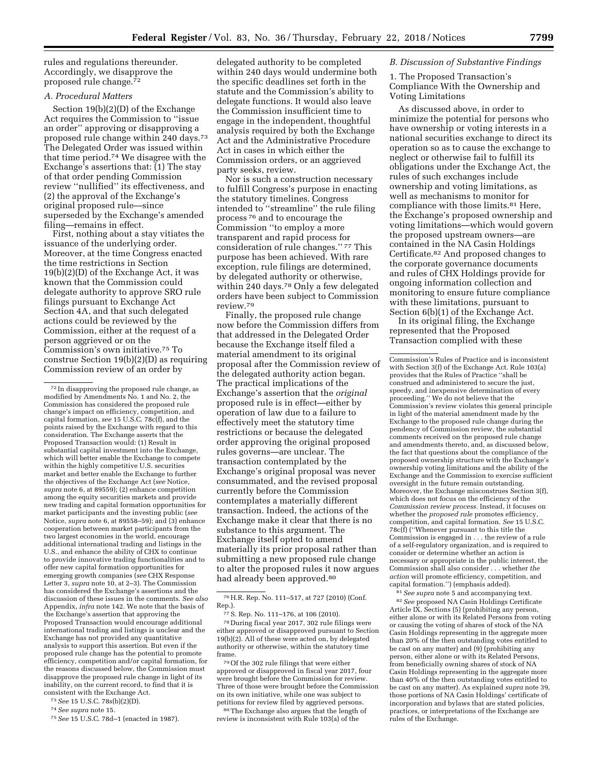rules and regulations thereunder. Accordingly, we disapprove the proposed rule change.72

# *A. Procedural Matters*

Section 19(b)(2)(D) of the Exchange Act requires the Commission to ''issue an order'' approving or disapproving a proposed rule change within 240 days.73 The Delegated Order was issued within that time period.74 We disagree with the Exchange's assertions that: (1) The stay of that order pending Commission review ''nullified'' its effectiveness, and (2) the approval of the Exchange's original proposed rule—since superseded by the Exchange's amended filing—remains in effect.

First, nothing about a stay vitiates the issuance of the underlying order. Moreover, at the time Congress enacted the time restrictions in Section 19(b)(2)(D) of the Exchange Act, it was known that the Commission could delegate authority to approve SRO rule filings pursuant to Exchange Act Section 4A, and that such delegated actions could be reviewed by the Commission, either at the request of a person aggrieved or on the Commission's own initiative.75 To construe Section 19(b)(2)(D) as requiring Commission review of an order by

75*See* 15 U.S.C. 78d–1 (enacted in 1987).

delegated authority to be completed within 240 days would undermine both the specific deadlines set forth in the statute and the Commission's ability to delegate functions. It would also leave the Commission insufficient time to engage in the independent, thoughtful analysis required by both the Exchange Act and the Administrative Procedure Act in cases in which either the Commission orders, or an aggrieved party seeks, review.

Nor is such a construction necessary to fulfill Congress's purpose in enacting the statutory timelines. Congress intended to ''streamline'' the rule filing process 76 and to encourage the Commission ''to employ a more transparent and rapid process for consideration of rule changes.'' 77 This purpose has been achieved. With rare exception, rule filings are determined, by delegated authority or otherwise, within 240 days.<sup>78</sup> Only a few delegated orders have been subject to Commission review.79

Finally, the proposed rule change now before the Commission differs from that addressed in the Delegated Order because the Exchange itself filed a material amendment to its original proposal after the Commission review of the delegated authority action began. The practical implications of the Exchange's assertion that the *original*  proposed rule is in effect—either by operation of law due to a failure to effectively meet the statutory time restrictions or because the delegated order approving the original proposed rules governs—are unclear. The transaction contemplated by the Exchange's original proposal was never consummated, and the revised proposal currently before the Commission contemplates a materially different transaction. Indeed, the actions of the Exchange make it clear that there is no substance to this argument. The Exchange itself opted to amend materially its prior proposal rather than submitting a new proposed rule change to alter the proposed rules it now argues had already been approved.<sup>80</sup>

authority or otherwise, within the statutory time frame. 79Of the 302 rule filings that were either

approved or disapproved in fiscal year 2017, four were brought before the Commission for review. Three of those were brought before the Commission on its own initiative, while one was subject to petitions for review filed by aggrieved persons. 80The Exchange also argues that the length of

review is inconsistent with Rule 103(a) of the

### *B. Discussion of Substantive Findings*

1. The Proposed Transaction's Compliance With the Ownership and Voting Limitations

As discussed above, in order to minimize the potential for persons who have ownership or voting interests in a national securities exchange to direct its operation so as to cause the exchange to neglect or otherwise fail to fulfill its obligations under the Exchange Act, the rules of such exchanges include ownership and voting limitations, as well as mechanisms to monitor for compliance with those limits.<sup>81</sup> Here, the Exchange's proposed ownership and voting limitations—which would govern the proposed upstream owners—are contained in the NA Casin Holdings Certificate.82 And proposed changes to the corporate governance documents and rules of CHX Holdings provide for ongoing information collection and monitoring to ensure future compliance with these limitations, pursuant to Section 6(b)(1) of the Exchange Act.

In its original filing, the Exchange represented that the Proposed Transaction complied with these

81*See supra* note 5 and accompanying text. 82*See* proposed NA Casin Holdings Certificate Article IX, Sections (5) (prohibiting any person, either alone or with its Related Persons from voting or causing the voting of shares of stock of the NA Casin Holdings representing in the aggregate more than 20% of the then outstanding votes entitled to be cast on any matter) and (9) (prohibiting any person, either alone or with its Related Persons, from beneficially owning shares of stock of NA Casin Holdings representing in the aggregate more than 40% of the then outstanding votes entitled to be cast on any matter). As explained *supra* note 39, those portions of NA Casin Holdings' certificate of incorporation and bylaws that are stated policies, practices, or interpretations of the Exchange are rules of the Exchange.

<sup>72</sup> In disapproving the proposed rule change, as modified by Amendments No. 1 and No. 2, the Commission has considered the proposed rule change's impact on efficiency, competition, and capital formation, *see* 15 U.S.C. 78c(f), and the points raised by the Exchange with regard to this consideration. The Exchange asserts that the Proposed Transaction would: (1) Result in substantial capital investment into the Exchange, which will better enable the Exchange to compete within the highly competitive U.S. securities market and better enable the Exchange to further the objectives of the Exchange Act (*see* Notice, *supra* note 6, at 89559); (2) enhance competition among the equity securities markets and provide new trading and capital formation opportunities for market participants and the investing public (*see*  Notice, *supra* note 6, at 89558–59); and (3) enhance cooperation between market participants from the two largest economies in the world, encourage additional international trading and listings in the U.S., and enhance the ability of CHX to continue to provide innovative trading functionalities and to offer new capital formation opportunities for emerging growth companies (*see* CHX Response Letter 3, *supra* note 10, at 2–3). The Commission has considered the Exchange's assertions and the discussion of these issues in the comments. *See also*  Appendix, *infra* note 142. We note that the basis of the Exchange's assertion that approving the Proposed Transaction would encourage additional international trading and listings is unclear and the Exchange has not provided any quantitative analysis to support this assertion. But even if the proposed rule change has the potential to promote efficiency, competition and/or capital formation, for the reasons discussed below, the Commission must disapprove the proposed rule change in light of its inability, on the current record, to find that it is consistent with the Exchange Act.

<sup>73</sup>*See* 15 U.S.C. 78s(b)(2)(D).

<sup>74</sup>*See supra* note 15.

<sup>76</sup>H.R. Rep. No. 111–517, at 727 (2010) (Conf. Rep.).

<sup>77</sup>S. Rep. No. 111–176, at 106 (2010). 78 During fiscal year 2017, 302 rule filings were either approved or disapproved pursuant to Section 19(b)(2). All of these were acted on, by delegated

Commission's Rules of Practice and is inconsistent with Section 3(f) of the Exchange Act. Rule 103(a) provides that the Rules of Practice ''shall be construed and administered to secure the just, speedy, and inexpensive determination of every proceeding.'' We do not believe that the Commission's review violates this general principle in light of the material amendment made by the Exchange to the proposed rule change during the pendency of Commission review, the substantial comments received on the proposed rule change and amendments thereto, and, as discussed below, the fact that questions about the compliance of the proposed ownership structure with the Exchange's ownership voting limitations and the ability of the Exchange and the Commission to exercise sufficient oversight in the future remain outstanding. Moreover, the Exchange misconstrues Section 3(f), which does not focus on the efficiency of the *Commission review process.* Instead, it focuses on whether the *proposed rule* promotes efficiency, competition, and capital formation. *See* 15 U.S.C. 78c(f) (''Whenever pursuant to this title the Commission is engaged in . . . the review of a rule of a self-regulatory organization, and is required to consider or determine whether an action is necessary or appropriate in the public interest, the Commission shall also consider . . . whether *the action* will promote efficiency, competition, and capital formation.'') (emphasis added).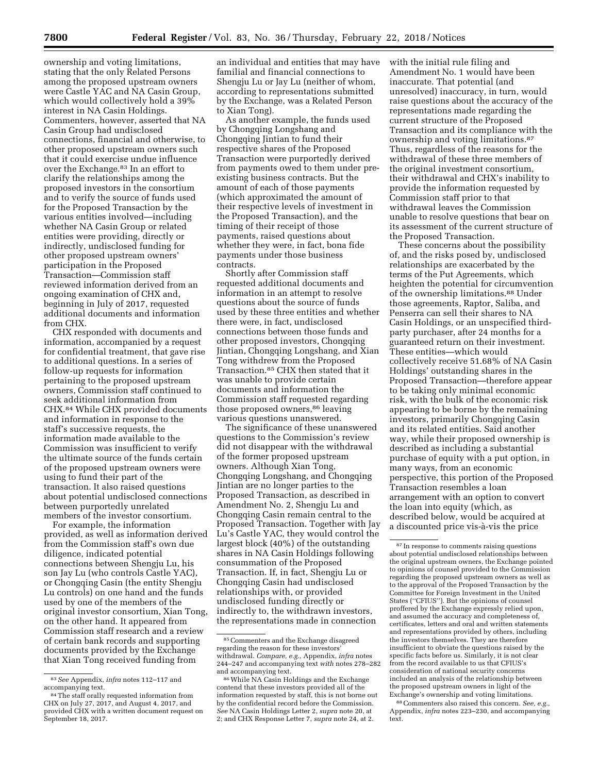ownership and voting limitations, stating that the only Related Persons among the proposed upstream owners were Castle YAC and NA Casin Group, which would collectively hold a 39% interest in NA Casin Holdings. Commenters, however, asserted that NA Casin Group had undisclosed connections, financial and otherwise, to other proposed upstream owners such that it could exercise undue influence over the Exchange.83 In an effort to clarify the relationships among the proposed investors in the consortium and to verify the source of funds used for the Proposed Transaction by the various entities involved—including whether NA Casin Group or related entities were providing, directly or indirectly, undisclosed funding for other proposed upstream owners' participation in the Proposed Transaction—Commission staff reviewed information derived from an ongoing examination of CHX and, beginning in July of 2017, requested additional documents and information from CHX.

CHX responded with documents and information, accompanied by a request for confidential treatment, that gave rise to additional questions. In a series of follow-up requests for information pertaining to the proposed upstream owners, Commission staff continued to seek additional information from CHX.84 While CHX provided documents and information in response to the staff's successive requests, the information made available to the Commission was insufficient to verify the ultimate source of the funds certain of the proposed upstream owners were using to fund their part of the transaction. It also raised questions about potential undisclosed connections between purportedly unrelated members of the investor consortium.

For example, the information provided, as well as information derived from the Commission staff's own due diligence, indicated potential connections between Shengju Lu, his son Jay Lu (who controls Castle YAC), or Chongqing Casin (the entity Shengju Lu controls) on one hand and the funds used by one of the members of the original investor consortium, Xian Tong, on the other hand. It appeared from Commission staff research and a review of certain bank records and supporting documents provided by the Exchange that Xian Tong received funding from

<sup>84</sup> The staff orally requested information from CHX on July 27, 2017, and August 4, 2017, and provided CHX with a written document request on September 18, 2017.

an individual and entities that may have familial and financial connections to Shengju Lu or Jay Lu (neither of whom, according to representations submitted by the Exchange, was a Related Person to Xian Tong).

As another example, the funds used by Chongqing Longshang and Chongqing Jintian to fund their respective shares of the Proposed Transaction were purportedly derived from payments owed to them under preexisting business contracts. But the amount of each of those payments (which approximated the amount of their respective levels of investment in the Proposed Transaction), and the timing of their receipt of those payments, raised questions about whether they were, in fact, bona fide payments under those business contracts.

Shortly after Commission staff requested additional documents and information in an attempt to resolve questions about the source of funds used by these three entities and whether there were, in fact, undisclosed connections between those funds and other proposed investors, Chongqing Jintian, Chongqing Longshang, and Xian Tong withdrew from the Proposed Transaction.85 CHX then stated that it was unable to provide certain documents and information the Commission staff requested regarding those proposed owners,<sup>86</sup> leaving various questions unanswered.

The significance of these unanswered questions to the Commission's review did not disappear with the withdrawal of the former proposed upstream owners. Although Xian Tong, Chongqing Longshang, and Chongqing Jintian are no longer parties to the Proposed Transaction, as described in Amendment No. 2, Shengju Lu and Chongqing Casin remain central to the Proposed Transaction. Together with Jay Lu's Castle YAC, they would control the largest block (40%) of the outstanding shares in NA Casin Holdings following consummation of the Proposed Transaction. If, in fact, Shengju Lu or Chongqing Casin had undisclosed relationships with, or provided undisclosed funding directly or indirectly to, the withdrawn investors, the representations made in connection

with the initial rule filing and Amendment No. 1 would have been inaccurate. That potential (and unresolved) inaccuracy, in turn, would raise questions about the accuracy of the representations made regarding the current structure of the Proposed Transaction and its compliance with the ownership and voting limitations.87 Thus, regardless of the reasons for the withdrawal of these three members of the original investment consortium, their withdrawal and CHX's inability to provide the information requested by Commission staff prior to that withdrawal leaves the Commission unable to resolve questions that bear on its assessment of the current structure of the Proposed Transaction.

These concerns about the possibility of, and the risks posed by, undisclosed relationships are exacerbated by the terms of the Put Agreements, which heighten the potential for circumvention of the ownership limitations.88 Under those agreements, Raptor, Saliba, and Penserra can sell their shares to NA Casin Holdings, or an unspecified thirdparty purchaser, after 24 months for a guaranteed return on their investment. These entities—which would collectively receive 51.68% of NA Casin Holdings' outstanding shares in the Proposed Transaction—therefore appear to be taking only minimal economic risk, with the bulk of the economic risk appearing to be borne by the remaining investors, primarily Chongqing Casin and its related entities. Said another way, while their proposed ownership is described as including a substantial purchase of equity with a put option, in many ways, from an economic perspective, this portion of the Proposed Transaction resembles a loan arrangement with an option to convert the loan into equity (which, as described below, would be acquired at a discounted price vis-a`-vis the price

88Commenters also raised this concern. *See, e.g.,*  Appendix, *infra* notes 223–230, and accompanying text.

<sup>83</sup>*See* Appendix, *infra* notes 112–117 and

<sup>85</sup>Commenters and the Exchange disagreed regarding the reason for these investors' withdrawal. *Compare, e.g.,* Appendix, *infra* notes 244–247 and accompanying text *with* notes 278–282 and accompanying text.

<sup>86</sup>While NA Casin Holdings and the Exchange contend that these investors provided all of the information requested by staff, this is not borne out by the confidential record before the Commission. *See* NA Casin Holdings Letter 2, *supra* note 20, at 2; and CHX Response Letter 7, *supra* note 24, at 2.

<sup>87</sup> In response to comments raising questions about potential undisclosed relationships between the original upstream owners, the Exchange pointed to opinions of counsel provided to the Commission regarding the proposed upstream owners as well as to the approval of the Proposed Transaction by the Committee for Foreign Investment in the United States (''CFIUS''). But the opinions of counsel proffered by the Exchange expressly relied upon, and assumed the accuracy and completeness of, certificates, letters and oral and written statements and representations provided by others, including the investors themselves. They are therefore insufficient to obviate the questions raised by the specific facts before us. Similarly, it is not clear from the record available to us that CFIUS's consideration of national security concerns included an analysis of the relationship between the proposed upstream owners in light of the Exchange's ownership and voting limitations.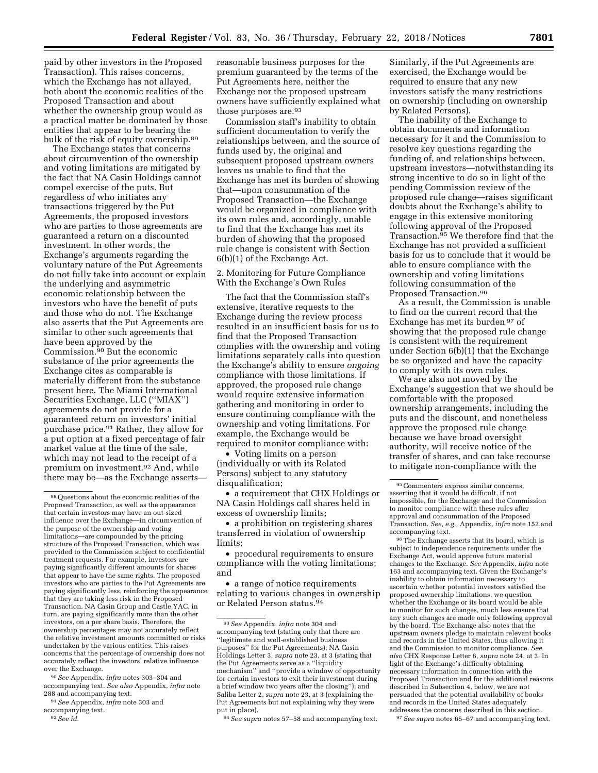paid by other investors in the Proposed Transaction). This raises concerns, which the Exchange has not allayed, both about the economic realities of the Proposed Transaction and about whether the ownership group would as a practical matter be dominated by those entities that appear to be bearing the bulk of the risk of equity ownership.89

The Exchange states that concerns about circumvention of the ownership and voting limitations are mitigated by the fact that NA Casin Holdings cannot compel exercise of the puts. But regardless of who initiates any transactions triggered by the Put Agreements, the proposed investors who are parties to those agreements are guaranteed a return on a discounted investment. In other words, the Exchange's arguments regarding the voluntary nature of the Put Agreements do not fully take into account or explain the underlying and asymmetric economic relationship between the investors who have the benefit of puts and those who do not. The Exchange also asserts that the Put Agreements are similar to other such agreements that have been approved by the Commission.90 But the economic substance of the prior agreements the Exchange cites as comparable is materially different from the substance present here. The Miami International Securities Exchange, LLC (''MIAX'') agreements do not provide for a guaranteed return on investors' initial purchase price.91 Rather, they allow for a put option at a fixed percentage of fair market value at the time of the sale, which may not lead to the receipt of a premium on investment.92 And, while there may be—as the Exchange asserts—

90*See* Appendix, *infra* notes 303–304 and accompanying text. *See also* Appendix, *infra* note 288 and accompanying text.

91*See* Appendix, *infra* note 303 and

reasonable business purposes for the premium guaranteed by the terms of the Put Agreements here, neither the Exchange nor the proposed upstream owners have sufficiently explained what those purposes are.<sup>93</sup>

Commission staff's inability to obtain sufficient documentation to verify the relationships between, and the source of funds used by, the original and subsequent proposed upstream owners leaves us unable to find that the Exchange has met its burden of showing that—upon consummation of the Proposed Transaction—the Exchange would be organized in compliance with its own rules and, accordingly, unable to find that the Exchange has met its burden of showing that the proposed rule change is consistent with Section 6(b)(1) of the Exchange Act.

2. Monitoring for Future Compliance With the Exchange's Own Rules

The fact that the Commission staff's extensive, iterative requests to the Exchange during the review process resulted in an insufficient basis for us to find that the Proposed Transaction complies with the ownership and voting limitations separately calls into question the Exchange's ability to ensure *ongoing*  compliance with those limitations. If approved, the proposed rule change would require extensive information gathering and monitoring in order to ensure continuing compliance with the ownership and voting limitations. For example, the Exchange would be required to monitor compliance with:

• Voting limits on a person (individually or with its Related Persons) subject to any statutory disqualification;

• a requirement that CHX Holdings or NA Casin Holdings call shares held in excess of ownership limits;

• a prohibition on registering shares transferred in violation of ownership limits;

• procedural requirements to ensure compliance with the voting limitations; and

• a range of notice requirements relating to various changes in ownership or Related Person status.94

Similarly, if the Put Agreements are exercised, the Exchange would be required to ensure that any new investors satisfy the many restrictions on ownership (including on ownership by Related Persons).

The inability of the Exchange to obtain documents and information necessary for it and the Commission to resolve key questions regarding the funding of, and relationships between, upstream investors—notwithstanding its strong incentive to do so in light of the pending Commission review of the proposed rule change—raises significant doubts about the Exchange's ability to engage in this extensive monitoring following approval of the Proposed Transaction.<sup>95</sup> We therefore find that the Exchange has not provided a sufficient basis for us to conclude that it would be able to ensure compliance with the ownership and voting limitations following consummation of the Proposed Transaction.96

As a result, the Commission is unable to find on the current record that the Exchange has met its burden 97 of showing that the proposed rule change is consistent with the requirement under Section 6(b)(1) that the Exchange be so organized and have the capacity to comply with its own rules.

We are also not moved by the Exchange's suggestion that we should be comfortable with the proposed ownership arrangements, including the puts and the discount, and nonetheless approve the proposed rule change because we have broad oversight authority, will receive notice of the transfer of shares, and can take recourse to mitigate non-compliance with the

96The Exchange asserts that its board, which is subject to independence requirements under the Exchange Act, would approve future material changes to the Exchange. *See* Appendix, *infra* note 163 and accompanying text. Given the Exchange's inability to obtain information necessary to ascertain whether potential investors satisfied the proposed ownership limitations, we question whether the Exchange or its board would be able to monitor for such changes, much less ensure that any such changes are made only following approval by the board. The Exchange also notes that the upstream owners pledge to maintain relevant books and records in the United States, thus allowing it and the Commission to monitor compliance. *See also* CHX Response Letter 6, *supra* note 24, at 3. In light of the Exchange's difficulty obtaining necessary information in connection with the Proposed Transaction and for the additional reasons described in Subsection 4, below, we are not persuaded that the potential availability of books and records in the United States adequately addresses the concerns described in this section.

97*See supra* notes 65–67 and accompanying text.

<sup>89</sup>Questions about the economic realities of the Proposed Transaction, as well as the appearance that certain investors may have an out-sized influence over the Exchange—in circumvention of the purpose of the ownership and voting limitations—are compounded by the pricing structure of the Proposed Transaction, which was provided to the Commission subject to confidential treatment requests. For example, investors are paying significantly different amounts for shares that appear to have the same rights. The proposed investors who are parties to the Put Agreements are paying significantly less, reinforcing the appearance that they are taking less risk in the Proposed Transaction. NA Casin Group and Castle YAC, in turn, are paying significantly more than the other investors, on a per share basis. Therefore, the ownership percentages may not accurately reflect the relative investment amounts committed or risks undertaken by the various entities. This raises concerns that the percentage of ownership does not accurately reflect the investors' relative influence over the Exchange.

accompanying text. 92*See id.* 

<sup>93</sup>*See* Appendix, *infra* note 304 and accompanying text (stating only that there are ''legitimate and well-established business purposes'' for the Put Agreements); NA Casin Holdings Letter 3, *supra* note 23, at 3 (stating that the Put Agreements serve as a ''liquidity mechanism'' and ''provide a window of opportunity for certain investors to exit their investment during a brief window two years after the closing''); and Saliba Letter 2, *supra* note 23, at 3 (explaining the Put Agreements but not explaining why they were put in place).

<sup>94</sup>*See supra* notes 57–58 and accompanying text.

<sup>95</sup>Commenters express similar concerns, asserting that it would be difficult, if not impossible, for the Exchange and the Commission to monitor compliance with these rules after approval and consummation of the Proposed Transaction. *See, e.g.,* Appendix, *infra* note 152 and accompanying text.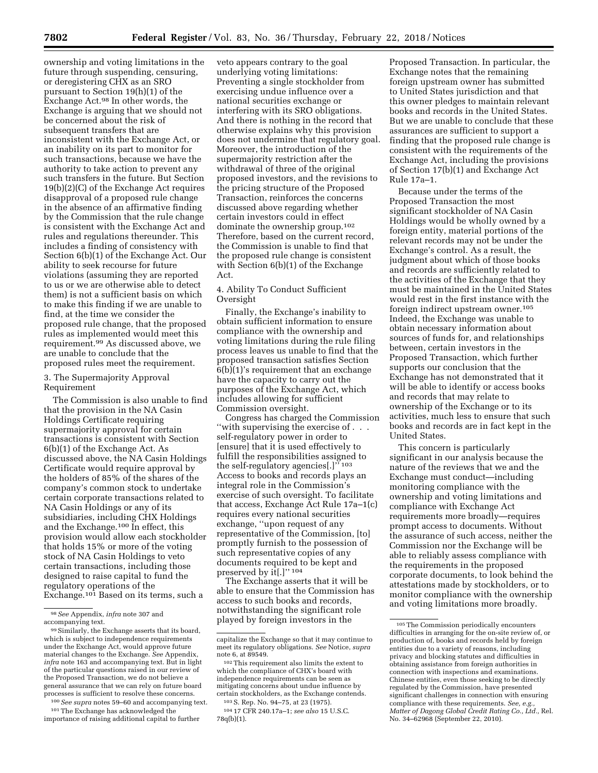ownership and voting limitations in the future through suspending, censuring, or deregistering CHX as an SRO pursuant to Section 19(h)(1) of the Exchange Act.98 In other words, the Exchange is arguing that we should not be concerned about the risk of subsequent transfers that are inconsistent with the Exchange Act, or an inability on its part to monitor for such transactions, because we have the authority to take action to prevent any such transfers in the future. But Section 19(b)(2)(C) of the Exchange Act requires disapproval of a proposed rule change in the absence of an affirmative finding by the Commission that the rule change is consistent with the Exchange Act and rules and regulations thereunder. This includes a finding of consistency with Section 6(b)(1) of the Exchange Act. Our ability to seek recourse for future violations (assuming they are reported to us or we are otherwise able to detect them) is not a sufficient basis on which to make this finding if we are unable to find, at the time we consider the proposed rule change, that the proposed rules as implemented would meet this requirement.99 As discussed above, we are unable to conclude that the proposed rules meet the requirement.

### 3. The Supermajority Approval Requirement

The Commission is also unable to find that the provision in the NA Casin Holdings Certificate requiring supermajority approval for certain transactions is consistent with Section 6(b)(1) of the Exchange Act. As discussed above, the NA Casin Holdings Certificate would require approval by the holders of 85% of the shares of the company's common stock to undertake certain corporate transactions related to NA Casin Holdings or any of its subsidiaries, including CHX Holdings and the Exchange.100 In effect, this provision would allow each stockholder that holds 15% or more of the voting stock of NA Casin Holdings to veto certain transactions, including those designed to raise capital to fund the regulatory operations of the Exchange.<sup>101</sup> Based on its terms, such a

100*See supra* notes 59–60 and accompanying text. 101The Exchange has acknowledged the importance of raising additional capital to further

veto appears contrary to the goal underlying voting limitations: Preventing a single stockholder from exercising undue influence over a national securities exchange or interfering with its SRO obligations. And there is nothing in the record that otherwise explains why this provision does not undermine that regulatory goal. Moreover, the introduction of the supermajority restriction after the withdrawal of three of the original proposed investors, and the revisions to the pricing structure of the Proposed Transaction, reinforces the concerns discussed above regarding whether certain investors could in effect dominate the ownership group.102 Therefore, based on the current record, the Commission is unable to find that the proposed rule change is consistent with Section  $6(b)(1)$  of the Exchange Act.

# 4. Ability To Conduct Sufficient Oversight

Finally, the Exchange's inability to obtain sufficient information to ensure compliance with the ownership and voting limitations during the rule filing process leaves us unable to find that the proposed transaction satisfies Section 6(b)(1)'s requirement that an exchange have the capacity to carry out the purposes of the Exchange Act, which includes allowing for sufficient Commission oversight.

Congress has charged the Commission ''with supervising the exercise of . . . self-regulatory power in order to [ensure] that it is used effectively to fulfill the responsibilities assigned to the self-regulatory agencies[.]'' 103 Access to books and records plays an integral role in the Commission's exercise of such oversight. To facilitate that access, Exchange Act Rule 17a–1(c) requires every national securities exchange, ''upon request of any representative of the Commission, [to] promptly furnish to the possession of such representative copies of any documents required to be kept and preserved by it[.]" 104

The Exchange asserts that it will be able to ensure that the Commission has access to such books and records, notwithstanding the significant role played by foreign investors in the

Proposed Transaction. In particular, the Exchange notes that the remaining foreign upstream owner has submitted to United States jurisdiction and that this owner pledges to maintain relevant books and records in the United States. But we are unable to conclude that these assurances are sufficient to support a finding that the proposed rule change is consistent with the requirements of the Exchange Act, including the provisions of Section 17(b)(1) and Exchange Act Rule 17a–1.

Because under the terms of the Proposed Transaction the most significant stockholder of NA Casin Holdings would be wholly owned by a foreign entity, material portions of the relevant records may not be under the Exchange's control. As a result, the judgment about which of those books and records are sufficiently related to the activities of the Exchange that they must be maintained in the United States would rest in the first instance with the foreign indirect upstream owner.105 Indeed, the Exchange was unable to obtain necessary information about sources of funds for, and relationships between, certain investors in the Proposed Transaction, which further supports our conclusion that the Exchange has not demonstrated that it will be able to identify or access books and records that may relate to ownership of the Exchange or to its activities, much less to ensure that such books and records are in fact kept in the United States.

This concern is particularly significant in our analysis because the nature of the reviews that we and the Exchange must conduct—including monitoring compliance with the ownership and voting limitations and compliance with Exchange Act requirements more broadly—requires prompt access to documents. Without the assurance of such access, neither the Commission nor the Exchange will be able to reliably assess compliance with the requirements in the proposed corporate documents, to look behind the attestations made by stockholders, or to monitor compliance with the ownership and voting limitations more broadly.

<sup>98</sup>*See* Appendix, *infra* note 307 and accompanying text.

<sup>99</sup>Similarly, the Exchange asserts that its board, which is subject to independence requirements under the Exchange Act, would approve future material changes to the Exchange. *See* Appendix, *infra* note 163 and accompanying text. But in light of the particular questions raised in our review of the Proposed Transaction, we do not believe a general assurance that we can rely on future board processes is sufficient to resolve these concerns.

capitalize the Exchange so that it may continue to meet its regulatory obligations. *See* Notice, *supra* 

<sup>102</sup> This requirement also limits the extent to which the compliance of CHX's board with independence requirements can be seen as mitigating concerns about undue influence by certain stockholders, as the Exchange contends.

<sup>103</sup>S. Rep. No. 94–75, at 23 (1975).

<sup>104</sup> 17 CFR 240.17a–1; *see also* 15 U.S.C. 78q(b)(1).

<sup>105</sup>The Commission periodically encounters difficulties in arranging for the on-site review of, or production of, books and records held by foreign entities due to a variety of reasons, including privacy and blocking statutes and difficulties in obtaining assistance from foreign authorities in connection with inspections and examinations. Chinese entities, even those seeking to be directly regulated by the Commission, have presented significant challenges in connection with ensuring compliance with these requirements. *See, e.g., Matter of Dagong Global Credit Rating Co., Ltd.,* Rel. No. 34–62968 (September 22, 2010).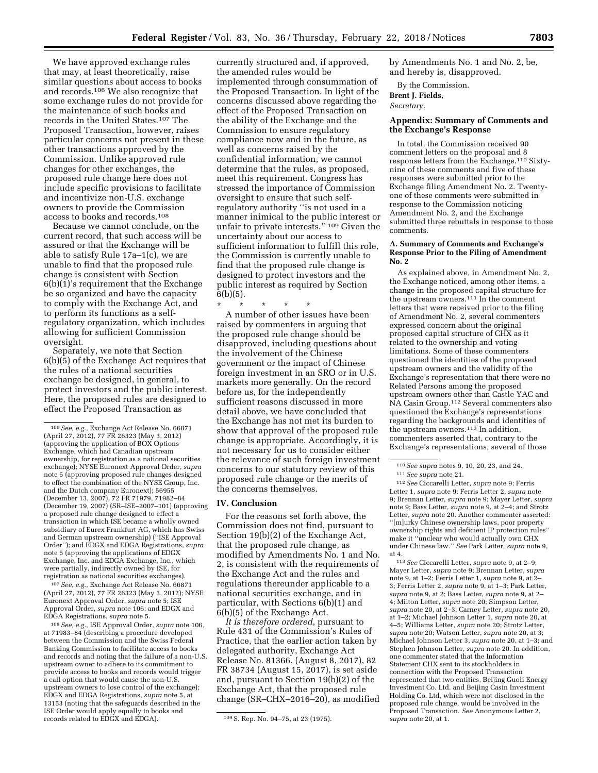We have approved exchange rules that may, at least theoretically, raise similar questions about access to books and records.106 We also recognize that some exchange rules do not provide for the maintenance of such books and records in the United States.107 The Proposed Transaction, however, raises particular concerns not present in these other transactions approved by the Commission. Unlike approved rule changes for other exchanges, the proposed rule change here does not include specific provisions to facilitate and incentivize non-U.S. exchange owners to provide the Commission access to books and records.108

Because we cannot conclude, on the current record, that such access will be assured or that the Exchange will be able to satisfy Rule 17a–1(c), we are unable to find that the proposed rule change is consistent with Section 6(b)(1)'s requirement that the Exchange be so organized and have the capacity to comply with the Exchange Act, and to perform its functions as a selfregulatory organization, which includes allowing for sufficient Commission oversight.

Separately, we note that Section 6(b)(5) of the Exchange Act requires that the rules of a national securities exchange be designed, in general, to protect investors and the public interest. Here, the proposed rules are designed to effect the Proposed Transaction as

107*See, e.g.,* Exchange Act Release No. 66871 (April 27, 2012), 77 FR 26323 (May 3, 2012); NYSE Euronext Approval Order, *supra* note 5; ISE Approval Order, *supra* note 106; and EDGX and EDGA Registrations, *supra* note 5.

108*See, e.g.,* ISE Approval Order, *supra* note 106, at 71983–84 (describing a procedure developed between the Commission and the Swiss Federal Banking Commission to facilitate access to books and records and noting that the failure of a non-U.S. upstream owner to adhere to its commitment to provide access to books and records would trigger a call option that would cause the non-U.S. upstream owners to lose control of the exchange); EDGX and EDGA Registrations, *supra* note 5, at 13153 (noting that the safeguards described in the ISE Order would apply equally to books and records related to EDGX and EDGA). 109S. Rep. No. 94–75, at 23 (1975).

currently structured and, if approved, the amended rules would be implemented through consummation of the Proposed Transaction. In light of the concerns discussed above regarding the effect of the Proposed Transaction on the ability of the Exchange and the Commission to ensure regulatory compliance now and in the future, as well as concerns raised by the confidential information, we cannot determine that the rules, as proposed, meet this requirement. Congress has stressed the importance of Commission oversight to ensure that such selfregulatory authority ''is not used in a manner inimical to the public interest or unfair to private interests.'' 109 Given the uncertainty about our access to sufficient information to fulfill this role, the Commission is currently unable to find that the proposed rule change is designed to protect investors and the public interest as required by Section 6(b)(5).

\* \* \* \* \* A number of other issues have been raised by commenters in arguing that the proposed rule change should be disapproved, including questions about the involvement of the Chinese government or the impact of Chinese foreign investment in an SRO or in U.S. markets more generally. On the record before us, for the independently sufficient reasons discussed in more detail above, we have concluded that the Exchange has not met its burden to show that approval of the proposed rule change is appropriate. Accordingly, it is not necessary for us to consider either the relevance of such foreign investment concerns to our statutory review of this proposed rule change or the merits of the concerns themselves.

## **IV. Conclusion**

For the reasons set forth above, the Commission does not find, pursuant to Section 19(b)(2) of the Exchange Act, that the proposed rule change, as modified by Amendments No. 1 and No. 2, is consistent with the requirements of the Exchange Act and the rules and regulations thereunder applicable to a national securities exchange, and in particular, with Sections 6(b)(1) and 6(b)(5) of the Exchange Act.

*It is therefore ordered*, pursuant to Rule 431 of the Commission's Rules of Practice, that the earlier action taken by delegated authority, Exchange Act Release No. 81366, (August 8, 2017), 82 FR 38734 (August 15, 2017), is set aside and, pursuant to Section 19(b)(2) of the Exchange Act, that the proposed rule change (SR–CHX–2016–20), as modified by Amendments No. 1 and No. 2, be, and hereby is, disapproved.

By the Commission.

**Brent J. Fields,** 

*Secretary.* 

### **Appendix: Summary of Comments and the Exchange's Response**

In total, the Commission received 90 comment letters on the proposal and 8 response letters from the Exchange.110 Sixtynine of these comments and five of these responses were submitted prior to the Exchange filing Amendment No. 2. Twentyone of these comments were submitted in response to the Commission noticing Amendment No. 2, and the Exchange submitted three rebuttals in response to those comments.

### **A. Summary of Comments and Exchange's Response Prior to the Filing of Amendment No. 2**

As explained above, in Amendment No. 2, the Exchange noticed, among other items, a change in the proposed capital structure for the upstream owners.<sup>111</sup> In the comment letters that were received prior to the filing of Amendment No. 2, several commenters expressed concern about the original proposed capital structure of CHX as it related to the ownership and voting limitations. Some of these commenters questioned the identities of the proposed upstream owners and the validity of the Exchange's representation that there were no Related Persons among the proposed upstream owners other than Castle YAC and NA Casin Group.112 Several commenters also questioned the Exchange's representations regarding the backgrounds and identities of the upstream owners.113 In addition, commenters asserted that, contrary to the Exchange's representations, several of those

112*See* Ciccarelli Letter, *supra* note 9; Ferris Letter 1, *supra* note 9; Ferris Letter 2, *supra* note 9; Brennan Letter, *supra* note 9; Mayer Letter, *supra*  note 9; Bass Letter, *supra* note 9, at 2–4; and Strotz Letter, *supra* note 20. Another commenter asserted: ''[m]urky Chinese ownership laws, poor property ownership rights and deficient IP protection rules'' make it ''unclear who would actually own CHX under Chinese law.'' *See* Park Letter, *supra* note 9, at 4.

113*See* Ciccarelli Letter, *supra* note 9, at 2–9; Mayer Letter, *supra* note 9; Brennan Letter, *supra*  note 9, at 1–2; Ferris Letter 1, *supra* note 9, at 2– 3; Ferris Letter 2, *supra* note 9, at 1–3; Park Letter, *supra* note 9, at 2; Bass Letter, *supra* note 9, at 2– 4; Milton Letter, *supra* note 20; Simpson Letter, *supra* note 20, at 2–3; Carney Letter, *supra* note 20, at 1–2; Michael Johnson Letter 1, *supra* note 20, at 4–5; Williams Letter, *supra* note 20; Strotz Letter, *supra* note 20; Watson Letter, *supra* note 20, at 3; Michael Johnson Letter 3, *supra* note 20, at 1–3; and Stephen Johnson Letter, *supra* note 20. In addition, one commenter stated that the Information Statement CHX sent to its stockholders in connection with the Proposed Transaction represented that two entities, Beijing Guoli Energy Investment Co. Ltd. and Beijing Casin Investment Holding Co. Ltd, which were not disclosed in the proposed rule change, would be involved in the Proposed Transaction. *See* Anonymous Letter 2, *supra* note 20, at 1.

<sup>106</sup>*See, e.g.,* Exchange Act Release No. 66871 (April 27, 2012), 77 FR 26323 (May 3, 2012) (approving the application of BOX Options Exchange, which had Canadian upstream ownership, for registration as a national securities exchange); NYSE Euronext Approval Order, *supra*  note 5 (approving proposed rule changes designed to effect the combination of the NYSE Group, Inc. and the Dutch company Euronext); 56955 (December 13, 2007), 72 FR 71979, 71982–84 (December 19, 2007) (SR–ISE–2007–101) (approving a proposed rule change designed to effect a transaction in which ISE became a wholly owned subsidiary of Eurex Frankfurt AG, which has Swiss and German upstream ownership) (''ISE Approval Order''); and EDGX and EDGA Registrations, *supra*  note 5 (approving the applications of EDGX Exchange, Inc. and EDGA Exchange, Inc., which were partially, indirectly owned by ISE, for registration as national securities exchanges).

<sup>110</sup>*See supra* notes 9, 10, 20, 23, and 24. 111*See supra* note 21.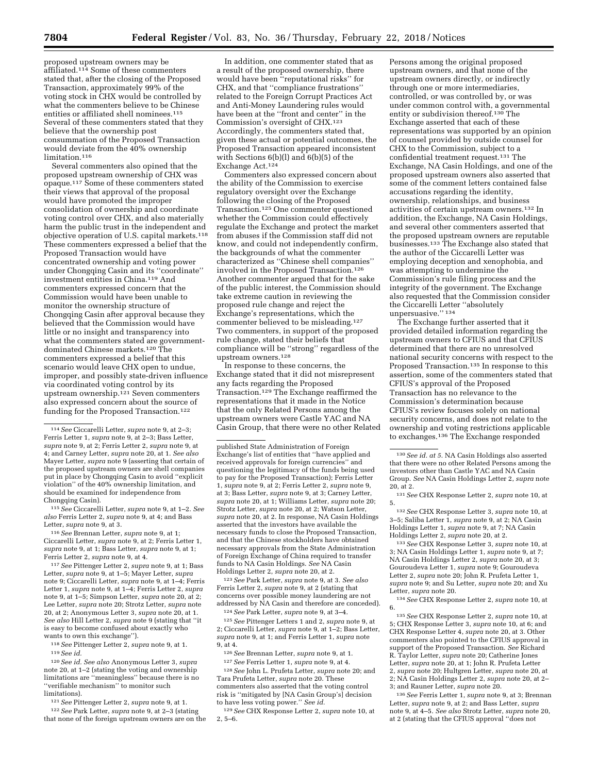proposed upstream owners may be affiliated.114 Some of these commenters stated that, after the closing of the Proposed Transaction, approximately 99% of the voting stock in CHX would be controlled by what the commenters believe to be Chinese entities or affiliated shell nominees.115 Several of these commenters stated that they believe that the ownership post consummation of the Proposed Transaction would deviate from the 40% ownership limitation.116

Several commenters also opined that the proposed upstream ownership of CHX was opaque.117 Some of these commenters stated their views that approval of the proposal would have promoted the improper consolidation of ownership and coordinate voting control over CHX, and also materially harm the public trust in the independent and objective operation of U.S. capital markets.118 These commenters expressed a belief that the Proposed Transaction would have concentrated ownership and voting power under Chongqing Casin and its ''coordinate'' investment entities in China.119 And commenters expressed concern that the Commission would have been unable to monitor the ownership structure of Chongqing Casin after approval because they believed that the Commission would have little or no insight and transparency into what the commenters stated are governmentdominated Chinese markets.120 The commenters expressed a belief that this scenario would leave CHX open to undue, improper, and possibly state-driven influence via coordinated voting control by its upstream ownership.<sup>121</sup> Seven commenters also expressed concern about the source of funding for the Proposed Transaction.<sup>122</sup>

115*See* Ciccarelli Letter, *supra* note 9, at 1–2. *See also* Ferris Letter 2, *supra* note 9, at 4; and Bass Letter, *supra* note 9, at 3.

116*See* Brennan Letter, *supra* note 9, at 1; Ciccarelli Letter, *supra* note 9, at 2; Ferris Letter 1, *supra* note 9, at 1; Bass Letter, *supra* note 9, at 1; Ferris Letter 2, *supra* note 9, at 4.

117*See* Pittenger Letter 2, *supra* note 9, at 1; Bass Letter, *supra* note 9, at 1–5; Mayer Letter, *supra*  note 9; Ciccarelli Letter, *supra* note 9, at 1–4; Ferris Letter 1, *supra* note 9, at 1–4; Ferris Letter 2, *supra*  note 9, at 1–5; Simpson Letter, *supra* note 20, at 2; Lee Letter, *supra* note 20; Strotz Letter, *supra* note 20, at 2; Anonymous Letter 3, *supra* note 20, at 1. *See also* Hill Letter 2, *supra* note 9 (stating that ''it is easy to become confused about exactly who wants to own this exchange'').

118*See* Pittenger Letter 2, *supra* note 9, at 1. 119*See id.* 

120*See id. See also* Anonymous Letter 3, *supra*  note 20, at 1–2 (stating the voting and ownership limitations are ''meaningless'' because there is no ''verifiable mechanism'' to monitor such limitations).

121*See* Pittenger Letter 2, *supra* note 9, at 1.

122*See* Park Letter, *supra* note 9, at 2–3 (stating that none of the foreign upstream owners are on the

In addition, one commenter stated that as a result of the proposed ownership, there would have been ''reputational risks'' for CHX, and that ''compliance frustrations'' related to the Foreign Corrupt Practices Act and Anti-Money Laundering rules would have been at the ''front and center'' in the Commission's oversight of CHX.123 Accordingly, the commenters stated that, given these actual or potential outcomes, the Proposed Transaction appeared inconsistent with Sections 6(b)(l) and 6(b)(5) of the Exchange Act.124

Commenters also expressed concern about the ability of the Commission to exercise regulatory oversight over the Exchange following the closing of the Proposed Transaction.125 One commenter questioned whether the Commission could effectively regulate the Exchange and protect the market from abuses if the Commission staff did not know, and could not independently confirm, the backgrounds of what the commenter characterized as ''Chinese shell companies'' involved in the Proposed Transaction.126 Another commenter argued that for the sake of the public interest, the Commission should take extreme caution in reviewing the proposed rule change and reject the Exchange's representations, which the commenter believed to be misleading.127 Two commenters, in support of the proposed rule change, stated their beliefs that compliance will be ''strong'' regardless of the upstream owners.128

In response to these concerns, the Exchange stated that it did not misrepresent any facts regarding the Proposed Transaction.129 The Exchange reaffirmed the representations that it made in the Notice that the only Related Persons among the upstream owners were Castle YAC and NA Casin Group, that there were no other Related

123*See* Park Letter, *supra* note 9, at 3. *See also*  Ferris Letter 2, *supra* note 9, at 2 (stating that concerns over possible money laundering are not addressed by NA Casin and therefore are conceded).

124*See* Park Letter, *supra* note 9, at 3–4.

125*See* Pittenger Letters 1 and 2, *supra* note 9, at 2; Ciccarelli Letter, *supra* note 9, at 1–2; Bass Letter, *supra* note 9, at 1; and Ferris Letter 1, *supra* note 9, at 4.

126*See* Brennan Letter, *supra* note 9, at 1.

127*See* Ferris Letter 1, *supra* note 9, at 4. 128*See* John L. Prufeta Letter, *supra* note 20; and Tara Prufeta Letter, *supra* note 20. These commenters also asserted that the voting control risk is ''mitigated by [NA Casin Group's] decision to have less voting power.'' *See id.* 

129*See* CHX Response Letter 2, *supra* note 10, at 2, 5–6.

Persons among the original proposed upstream owners, and that none of the upstream owners directly, or indirectly through one or more intermediaries, controlled, or was controlled by, or was under common control with, a governmental entity or subdivision thereof.130 The Exchange asserted that each of these representations was supported by an opinion of counsel provided by outside counsel for CHX to the Commission, subject to a confidential treatment request.131 The Exchange, NA Casin Holdings, and one of the proposed upstream owners also asserted that some of the comment letters contained false accusations regarding the identity, ownership, relationships, and business activities of certain upstream owners.132 In addition, the Exchange, NA Casin Holdings, and several other commenters asserted that the proposed upstream owners are reputable businesses.133 The Exchange also stated that the author of the Ciccarelli Letter was employing deception and xenophobia, and was attempting to undermine the Commission's rule filing process and the integrity of the government. The Exchange also requested that the Commission consider the Ciccarelli Letter ''absolutely unpersuasive.'' 134

The Exchange further asserted that it provided detailed information regarding the upstream owners to CFIUS and that CFIUS determined that there are no unresolved national security concerns with respect to the Proposed Transaction.<sup>135</sup> In response to this assertion, some of the commenters stated that CFIUS's approval of the Proposed Transaction has no relevance to the Commission's determination because CFIUS's review focuses solely on national security concerns, and does not relate to the ownership and voting restrictions applicable to exchanges.136 The Exchange responded

132*See* CHX Response Letter 3, *supra* note 10, at 3–5; Saliba Letter 1, *supra* note 9, at 2; NA Casin Holdings Letter 1, *supra* note 9, at 7; NA Casin Holdings Letter 2, *supra* note 20, at 2.

133*See* CHX Response Letter 3, *supra* note 10, at 3; NA Casin Holdings Letter 1, *supra* note 9, at 7; NA Casin Holdings Letter 2, *supra* note 20, at 3; Gouroudeva Letter 1, *supra* note 9; Gouroudeva Letter 2, *supra* note 20; John R. Prufeta Letter 1, *supra* note 9; and Su Letter, *supra* note 20; and Xu Letter, *supra* note 20.

134*See* CHX Response Letter 2, *supra* note 10, at 6.

135*See* CHX Response Letter 2, *supra* note 10, at 5; CHX Response Letter 3, *supra* note 10, at 6; and CHX Response Letter 4, *supra* note 20, at 3. Other commenters also pointed to the CFIUS approval in support of the Proposed Transaction. *See* Richard R. Taylor Letter, *supra* note 20; Catherine Jones Letter, *supra* note 20, at 1; John R. Prufeta Letter 2, *supra* note 20; Hultgren Letter, *supra* note 20, at 2; NA Casin Holdings Letter 2, *supra* note 20, at 2– 3; and Rauner Letter, *supra* note 20.

136*See* Ferris Letter 1, *supra* note 9, at 3; Brennan Letter, *supra* note 9, at 2; and Bass Letter, *supra*  note 9, at 4–5. *See also* Strotz Letter, *supra* note 20, at 2 (stating that the CFIUS approval ''does not

<sup>114</sup>*See* Ciccarelli Letter, *supra* note 9, at 2–3; Ferris Letter 1, *supra* note 9, at 2–3; Bass Letter, *supra* note 9, at 2; Ferris Letter 2, *supra* note 9, at 4; and Carney Letter, *supra* note 20, at 1. *See also*  Mayer Letter, *supra* note 9 (asserting that certain of the proposed upstream owners are shell companies put in place by Chongqing Casin to avoid ''explicit violation'' of the 40% ownership limitation, and should be examined for independence from Chongqing Casin).

published State Administration of Foreign Exchange's list of entities that ''have applied and received approvals for foreign currencies'' and questioning the legitimacy of the funds being used to pay for the Proposed Transaction); Ferris Letter 1, *supra* note 9, at 2; Ferris Letter 2, *supra* note 9, at 3; Bass Letter, *supra* note 9, at 3; Carney Letter, *supra* note 20, at 1; Williams Letter, *supra* note 20; Strotz Letter, *supra* note 20, at 2; Watson Letter, *supra* note 20, at 2. In response, NA Casin Holdings asserted that the investors have available the necessary funds to close the Proposed Transaction, and that the Chinese stockholders have obtained necessary approvals from the State Administration of Foreign Exchange of China required to transfer funds to NA Casin Holdings. *See* NA Casin Holdings Letter 2, *supra* note 20, at 2.

<sup>130</sup>*See id. at 5.* NA Casin Holdings also asserted that there were no other Related Persons among the investors other than Castle YAC and NA Casin Group. *See* NA Casin Holdings Letter 2, *supra* note 20, at 2.

<sup>131</sup>*See* CHX Response Letter 2, *supra* note 10, at 5.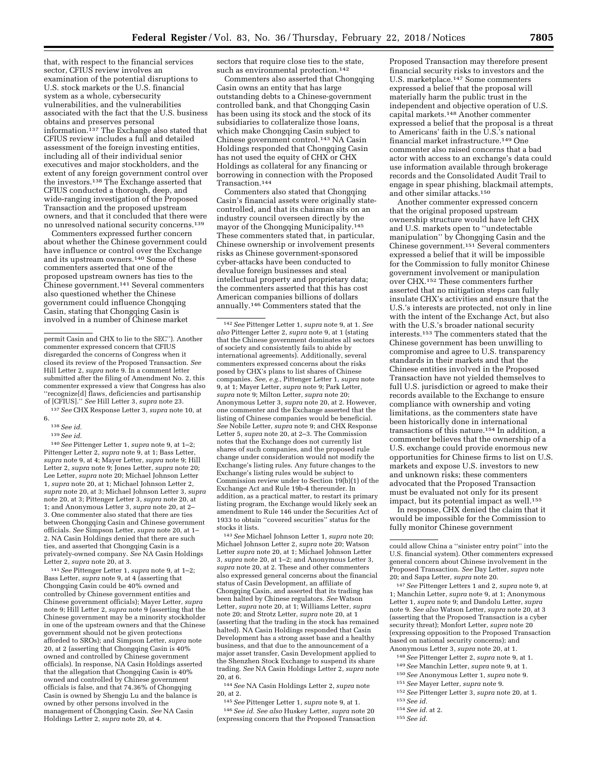that, with respect to the financial services sector, CFIUS review involves an examination of the potential disruptions to U.S. stock markets or the U.S. financial system as a whole, cybersecurity vulnerabilities, and the vulnerabilities associated with the fact that the U.S. business obtains and preserves personal information.137 The Exchange also stated that CFIUS review includes a full and detailed assessment of the foreign investing entities, including all of their individual senior executives and major stockholders, and the extent of any foreign government control over the investors.138 The Exchange asserted that CFIUS conducted a thorough, deep, and wide-ranging investigation of the Proposed Transaction and the proposed upstream owners, and that it concluded that there were no unresolved national security concerns.139

Commenters expressed further concern about whether the Chinese government could have influence or control over the Exchange and its upstream owners.140 Some of these commenters asserted that one of the proposed upstream owners has ties to the Chinese government.141 Several commenters also questioned whether the Chinese government could influence Chongqing Casin, stating that Chongqing Casin is involved in a number of Chinese market

137*See* CHX Response Letter 3, *supra* note 10, at 6.

138*See id.* 

139*See id.* 

140*See* Pittenger Letter 1, *supra* note 9, at 1–2; Pittenger Letter 2, *supra* note 9, at 1; Bass Letter, *supra* note 9, at 4; Mayer Letter, *supra* note 9; Hill Letter 2, *supra* note 9; Jones Letter, *supra* note 20; Lee Letter, *supra* note 20; Michael Johnson Letter 1, *supra* note 20, at 1; Michael Johnson Letter 2, *supra* note 20, at 3; Michael Johnson Letter 3, *supra*  note 20, at 3; Pittenger Letter 3, *supra* note 20, at 1; and Anonymous Letter 3, *supra* note 20, at 2– 3. One commenter also stated that there are ties between Chongqing Casin and Chinese government officials. *See* Simpson Letter, *supra* note 20, at 1– 2. NA Casin Holdings denied that there are such ties, and asserted that Chongqing Casin is a privately-owned company. *See* NA Casin Holdings Letter 2, *supra* note 20, at 3.

141*See* Pittenger Letter 1, *supra* note 9, at 1–2; Bass Letter, *supra* note 9, at 4 (asserting that Chongqing Casin could be 40% owned and controlled by Chinese government entities and Chinese government officials); Mayer Letter, *supra*  note 9; Hill Letter 2, *supra* note 9 (asserting that the Chinese government may be a minority stockholder in one of the upstream owners and that the Chinese government should not be given protections afforded to SROs); and Simpson Letter, *supra* note 20, at 2 (asserting that Chongqing Casin is 40% owned and controlled by Chinese government officials). In response, NA Casin Holdings asserted that the allegation that Chongqing Casin is 40% owned and controlled by Chinese government officials is false, and that 74.36% of Chongqing Casin is owned by Shengju Lu and the balance is owned by other persons involved in the management of Chongqing Casin. *See* NA Casin Holdings Letter 2, *supra* note 20, at 4.

sectors that require close ties to the state, such as environmental protection.142

Commenters also asserted that Chongqing Casin owns an entity that has large outstanding debts to a Chinese-government controlled bank, and that Chongqing Casin has been using its stock and the stock of its subsidiaries to collateralize those loans, which make Chongqing Casin subject to Chinese government control.143 NA Casin Holdings responded that Chongqing Casin has not used the equity of CHX or CHX Holdings as collateral for any financing or borrowing in connection with the Proposed Transaction.144

Commenters also stated that Chongqing Casin's financial assets were originally statecontrolled, and that its chairman sits on an industry council overseen directly by the mayor of the Chongqing Municipality.145 These commenters stated that, in particular, Chinese ownership or involvement presents risks as Chinese government-sponsored cyber-attacks have been conducted to devalue foreign businesses and steal intellectual property and proprietary data; the commenters asserted that this has cost American companies billions of dollars annually.146 Commenters stated that the

142*See* Pittenger Letter 1, *supra* note 9, at 1. *See also* Pittenger Letter 2, *supra* note 9, at 1 (stating that the Chinese government dominates all sectors of society and consistently fails to abide by international agreements). Additionally, several commenters expressed concerns about the risks posed by CHX's plans to list shares of Chinese companies. *See, e.g.,* Pittenger Letter 1, *supra* note 9, at 1; Mayer Letter, *supra* note 9; Park Letter, *supra* note 9; Milton Letter, *supra* note 20; Anonymous Letter 3, *supra* note 20, at 2. However, one commenter and the Exchange asserted that the listing of Chinese companies would be beneficial. *See* Nobile Letter, *supra* note 9; and CHX Response Letter 5, *supra* note 20, at 2–3. The Commission notes that the Exchange does not currently list shares of such companies, and the proposed rule change under consideration would not modify the Exchange's listing rules. Any future changes to the Exchange's listing rules would be subject to Commission review under to Section 19(b)(1) of the Exchange Act and Rule 19b-4 thereunder. In addition, as a practical matter, to restart its primary listing program, the Exchange would likely seek an amendment to Rule 146 under the Securities Act of 1933 to obtain ''covered securities'' status for the stocks it lists.

143*See* Michael Johnson Letter 1, *supra* note 20; Michael Johnson Letter 2, *supra* note 20; Watson Letter *supra* note 20, at 1; Michael Johnson Letter 3, *supra* note 20, at 1–2; and Anonymous Letter 3, *supra* note 20, at 2. These and other commenters also expressed general concerns about the financial status of Casin Development, an affiliate of Chongqing Casin, and asserted that its trading has been halted by Chinese regulators. *See* Watson Letter, *supra* note 20, at 1; Williams Letter, *supra*  note 20; and Strotz Letter, *supra* note 20, at 1 (asserting that the trading in the stock has remained halted). NA Casin Holdings responded that Casin Development has a strong asset base and a healthy business, and that due to the announcement of a major asset transfer, Casin Development applied to the Shenzhen Stock Exchange to suspend its share trading. *See* NA Casin Holdings Letter 2, *supra* note 20, at 6.

144*See* NA Casin Holdings Letter 2, *supra* note 20, at 2.

145*See* Pittenger Letter 1, *supra* note 9, at 1.

146*See id. See also* Huskey Letter, *supra* note 20 (expressing concern that the Proposed Transaction

Proposed Transaction may therefore present financial security risks to investors and the U.S. marketplace.147 Some commenters expressed a belief that the proposal will materially harm the public trust in the independent and objective operation of U.S. capital markets.148 Another commenter expressed a belief that the proposal is a threat to Americans' faith in the  $\hat{U}$ .S.'s national financial market infrastructure.149 One commenter also raised concerns that a bad actor with access to an exchange's data could use information available through brokerage records and the Consolidated Audit Trail to engage in spear phishing, blackmail attempts, and other similar attacks.150

Another commenter expressed concern that the original proposed upstream ownership structure would have left CHX and U.S. markets open to ''undetectable manipulation'' by Chongqing Casin and the Chinese government.151 Several commenters expressed a belief that it will be impossible for the Commission to fully monitor Chinese government involvement or manipulation over CHX.152 These commenters further asserted that no mitigation steps can fully insulate CHX's activities and ensure that the U.S.'s interests are protected, not only in line with the intent of the Exchange Act, but also with the U.S.'s broader national security interests.153 The commenters stated that the Chinese government has been unwilling to compromise and agree to U.S. transparency standards in their markets and that the Chinese entities involved in the Proposed Transaction have not yielded themselves to full U.S. jurisdiction or agreed to make their records available to the Exchange to ensure compliance with ownership and voting limitations, as the commenters state have been historically done in international transactions of this nature.154 In addition, a commenter believes that the ownership of a U.S. exchange could provide enormous new opportunities for Chinese firms to list on U.S. markets and expose U.S. investors to new and unknown risks; these commenters advocated that the Proposed Transaction must be evaluated not only for its present impact, but its potential impact as well.155

In response, CHX denied the claim that it would be impossible for the Commission to fully monitor Chinese government

147*See* Pittenger Letters 1 and 2, *supra* note 9, at 1; Manchin Letter, *supra* note 9, at 1; Anonymous Letter 1, *supra* note 9; and Dandolu Letter, *supra*  note 9. *See also* Watson Letter, *supra* note 20, at 3 (asserting that the Proposed Transaction is a cyber security threat); Monfort Letter, *supra* note 20 (expressing opposition to the Proposed Transaction based on national security concerns); and Anonymous Letter 3, *supra* note 20, at 1.

- 148*See* Pittenger Letter 2, *supra* note 9, at 1.
- 149*See* Manchin Letter, *supra* note 9, at 1.
- 150*See* Anonymous Letter 1, *supra* note 9.
- 151*See* Mayer Letter, *supra* note 9.
- 152*See* Pittenger Letter 3, *supra* note 20, at 1.
- 153*See id.*
- 154*See id.* at 2.
- 155*See id.*

permit Casin and CHX to lie to the SEC''). Another commenter expressed concern that CFIUS disregarded the concerns of Congress when it closed its review of the Proposed Transaction. *See*  Hill Letter 2, *supra* note 9. In a comment letter submitted after the filing of Amendment No. 2, this commenter expressed a view that Congress has also ''recognize[d] flaws, deficiencies and partisanship of [CFIUS].'' *See* Hill Letter 3, *supra* note 23.

could allow China a ''sinister entry point'' into the U.S. financial system). Other commenters expressed general concern about Chinese involvement in the Proposed Transaction. *See* Day Letter, *supra* note 20; and Sapa Letter, *supra* note 20.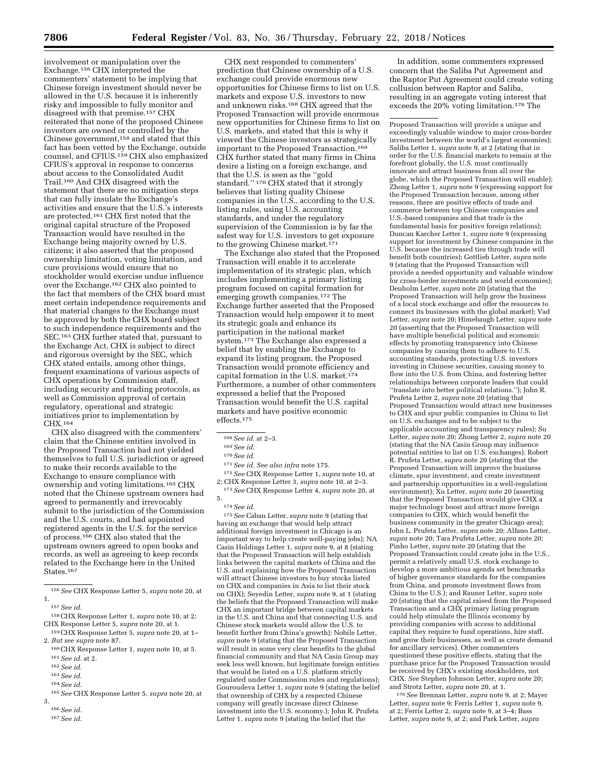involvement or manipulation over the Exchange.156 CHX interpreted the commenters' statement to be implying that Chinese foreign investment should never be allowed in the U.S. because it is inherently risky and impossible to fully monitor and disagreed with that premise.157 CHX reiterated that none of the proposed Chinese investors are owned or controlled by the Chinese government,<sup>158</sup> and stated that this fact has been vetted by the Exchange, outside counsel, and CFIUS.159 CHX also emphasized CFIUS's approval in response to concerns about access to the Consolidated Audit Trail.160 And CHX disagreed with the statement that there are no mitigation steps that can fully insulate the Exchange's activities and ensure that the U.S.'s interests are protected.161 CHX first noted that the original capital structure of the Proposed Transaction would have resulted in the Exchange being majority owned by U.S. citizens; it also asserted that the proposed ownership limitation, voting limitation, and cure provisions would ensure that no stockholder would exercise undue influence over the Exchange.162 CHX also pointed to the fact that members of the CHX board must meet certain independence requirements and that material changes to the Exchange must be approved by both the CHX board subject to such independence requirements and the SEC.<sup>163</sup> CHX further stated that, pursuant to the Exchange Act, CHX is subject to direct and rigorous oversight by the SEC, which CHX stated entails, among other things, frequent examinations of various aspects of CHX operations by Commission staff, including security and trading protocols, as well as Commission approval of certain regulatory, operational and strategic initiatives prior to implementation by CHX.164

CHX also disagreed with the commenters' claim that the Chinese entities involved in the Proposed Transaction had not yielded themselves to full U.S. jurisdiction or agreed to make their records available to the Exchange to ensure compliance with ownership and voting limitations.165 CHX noted that the Chinese upstream owners had agreed to permanently and irrevocably submit to the jurisdiction of the Commission and the U.S. courts, and had appointed registered agents in the U.S. for the service of process.166 CHX also stated that the upstream owners agreed to open books and records, as well as agreeing to keep records related to the Exchange here in the United States.167

164*See id.* 

CHX next responded to commenters' prediction that Chinese ownership of a U.S. exchange could provide enormous new opportunities for Chinese firms to list on U.S. markets and expose U.S. investors to new and unknown risks.168 CHX agreed that the Proposed Transaction will provide enormous new opportunities for Chinese firms to list on U.S. markets, and stated that this is why it viewed the Chinese investors as strategically important to the Proposed Transaction.169 CHX further stated that many firms in China desire a listing on a foreign exchange, and that the U.S. is seen as the ''gold standard.'' 170 CHX stated that it strongly believes that listing quality Chinese companies in the  $\overline{U}$ .S., according to the U.S. listing rules, using U.S. accounting standards, and under the regulatory supervision of the Commission is by far the safest way for U.S. investors to get exposure to the growing Chinese market.<sup>171</sup>

The Exchange also stated that the Proposed Transaction will enable it to accelerate implementation of its strategic plan, which includes implementing a primary listing program focused on capital formation for emerging growth companies.<sup>172</sup> The Exchange further asserted that the Proposed Transaction would help empower it to meet its strategic goals and enhance its participation in the national market system.<sup>173</sup> The Exchange also expressed a belief that by enabling the Exchange to expand its listing program, the Proposed Transaction would promote efficiency and capital formation in the U.S. market.<sup>174</sup> Furthermore, a number of other commenters expressed a belief that the Proposed Transaction would benefit the U.S. capital markets and have positive economic effects.175

171*See id. See also infra* note 175.

172*See* CHX Response Letter 1, *supra* note 10, at 2; CHX Response Letter 3, *supra* note 10, at 2–3. 173*See* CHX Response Letter 4, *supra* note 20, at

### 5. 174*See id.*

175*See* Caban Letter, *supra* note 9 (stating that having an exchange that would help attract additional foreign investment in Chicago is an important way to help create well-paying jobs); NA Casin Holdings Letter 1, *supra* note 9, at 8 (stating that the Proposed Transaction will help establish links between the capital markets of China and the U.S. and explaining how the Proposed Transaction will attract Chinese investors to buy stocks listed on CHX and companies in Asia to list their stock on CHX); Seyedin Letter, *supra* note 9, at 1 (stating the beliefs that the Proposed Transaction will make CHX an important bridge between capital markets in the U.S. and China and that connecting U.S. and Chinese stock markets would allow the U.S. to benefit further from China's growth); Nobile Letter, *supra* note 9 (stating that the Proposed Transaction will result in some very clear benefits to the global financial community and that NA Casin Group may seek less well known, but legitimate foreign entities that would be listed on a U.S. platform strictly regulated under Commission rules and regulations); Gouroudeva Letter 1, *supra* note 9 (stating the belief that ownership of CHX by a respected Chinese company will greatly increase direct Chinese investment into the U.S. economy.); John R. Prufeta Letter 1, *supra* note 9 (stating the belief that the

In addition, some commenters expressed concern that the Saliba Put Agreement and the Raptor Put Agreement could create voting collusion between Raptor and Saliba, resulting in an aggregate voting interest that exceeds the 20% voting limitation.176 The

Proposed Transaction will provide a unique and exceedingly valuable window to major cross-border investment between the world's largest economies); Saliba Letter 1, *supra* note 9, at 2 (stating that in order for the U.S. financial markets to remain at the forefront globally, the U.S. must continually innovate and attract business from all over the globe, which the Proposed Transaction will enable); Zhong Letter 1, *supra* note 9 (expressing support for the Proposed Transaction because, among other reasons, there are positive effects of trade and commerce between top Chinese companies and U.S.-based companies and that trade is the fundamental basis for positive foreign relations); Duncan Karcher Letter 1, *supra* note 9 (expressing support for investment by Chinese companies in the U.S. because the increased ties through trade will benefit both countries); Gottlieb Letter, *supra* note 9 (stating that the Proposed Transaction will provide a needed opportunity and valuable window for cross-border investments and world economies); Denholm Letter, *supra* note 20 (stating that the Proposed Transaction will help grow the business of a local stock exchange and offer the resources to connect its businesses with the global market); Vad Letter, *supra* note 20; Himebaugh Letter, *supra* note 20 (asserting that the Proposed Transaction will have multiple beneficial political and economic effects by promoting transparency into Chinese companies by causing them to adhere to U.S. accounting standards, protecting U.S. investors investing in Chinese securities, causing money to flow into the U.S. from China, and fostering better relationships between corporate leaders that could ''translate into better political relations.''); John R. Prufeta Letter 2, *supra* note 20 (stating that Proposed Transaction would attract new businesses to CHX and spur public companies in China to list on U.S. exchanges and to be subject to the applicable accounting and transparency rules); Su Letter, *supra* note 20; Zhong Letter 2, *supra* note 20 (stating that the NA Casin Group may influence potential entities to list on U.S. exchanges); Robert R. Prufeta Letter, *supra* note 20 (stating that the Proposed Transaction will improve the business climate, spur investment, and create investment and partnership opportunities in a well-regulation environment); Xu Letter, *supra* note 20 (asserting that the Proposed Transaction would give CHX a major technology boost and attract more foreign companies to CHX, which would benefit the business community in the greater Chicago area); John L. Prufeta Letter, *supra* note 20; Alfano Letter, *supra* note 20; Tara Prufeta Letter, *supra* note 20; Pinho Letter, *supra* note 20 (stating that the Proposed Transaction could create jobs in the U.S., permit a relatively small U.S. stock exchange to develop a more ambitious agenda set benchmarks of higher governance standards for the companies from China, and promote investment flows from China to the U.S.); and Rauner Letter, *supra* note 20 (stating that the capital raised from the Proposed Transaction and a CHX primary listing program could help stimulate the Illinois economy by providing companies with access to additional capital they require to fund operations, hire staff, and grow their businesses, as well as create demand for ancillary services). Other commenters questioned these positive effects, stating that the purchase price for the Proposed Transaction would be received by CHX's existing stockholders, not CHX. *See* Stephen Johnson Letter, *supra* note 20; and Strotz Letter, *supra* note 20, at 1.

176*See* Brennan Letter, *supra* note 9, at 2; Mayer Letter, *supra* note 9; Ferris Letter 1, *supra* note 9, at 2; Ferris Letter 2, *supra* note 9, at 3–4; Bass Letter, *supra* note 9, at 2; and Park Letter, *supra* 

<sup>156</sup>*See* CHX Response Letter 5, *supra* note 20, at 1.

<sup>157</sup>*See id.* 

<sup>158</sup>CHX Response Letter 1, *supra* note 10, at 2; CHX Response Letter 5, *supra* note 20, at 1.

<sup>159</sup>CHX Response Letter 5, *supra* note 20, at 1– 2. *But see supra* note 87.

<sup>160</sup>CHX Response Letter 1, *supra* note 10, at 5. 161*See id.* at 2.

<sup>162</sup>*See id.* 

<sup>163</sup>*See id.* 

<sup>165</sup>*See* CHX Response Letter 5, *supra* note 20, at 3. 166*See id.* 

<sup>167</sup>*See id.* 

<sup>168</sup>*See id.* at 2–3.

<sup>169</sup>*See id.* 

<sup>170</sup>*See id.*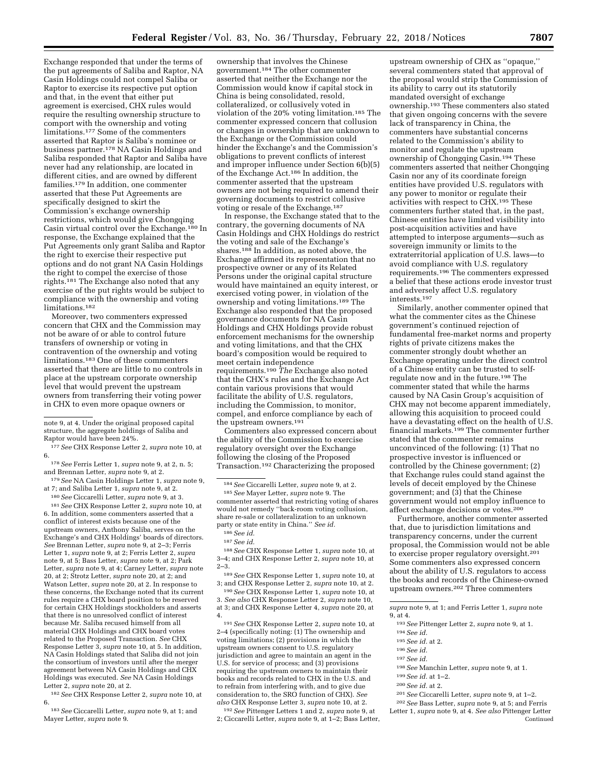Exchange responded that under the terms of the put agreements of Saliba and Raptor, NA Casin Holdings could not compel Saliba or Raptor to exercise its respective put option and that, in the event that either put agreement is exercised, CHX rules would require the resulting ownership structure to comport with the ownership and voting limitations.<sup>177</sup> Some of the commenters asserted that Raptor is Saliba's nominee or business partner.178 NA Casin Holdings and Saliba responded that Raptor and Saliba have never had any relationship, are located in different cities, and are owned by different families.179 In addition, one commenter asserted that these Put Agreements are specifically designed to skirt the Commission's exchange ownership restrictions, which would give Chongqing Casin virtual control over the Exchange.180 In response, the Exchange explained that the Put Agreements only grant Saliba and Raptor the right to exercise their respective put options and do not grant NA Casin Holdings the right to compel the exercise of those rights.181 The Exchange also noted that any exercise of the put rights would be subject to compliance with the ownership and voting limitations.182

Moreover, two commenters expressed concern that CHX and the Commission may not be aware of or able to control future transfers of ownership or voting in contravention of the ownership and voting limitations.183 One of these commenters asserted that there are little to no controls in place at the upstream corporate ownership level that would prevent the upstream owners from transferring their voting power in CHX to even more opaque owners or

177*See* CHX Response Letter 2, *supra* note 10, at 6.

178*See* Ferris Letter 1, *supra* note 9, at 2, n. 5; and Brennan Letter, *supra* note 9, at 2.

179*See* NA Casin Holdings Letter 1, *supra* note 9, at 7; and Saliba Letter 1, *supra* note 9, at 2. 180*See* Ciccarelli Letter, *supra* note 9, at 3.

181*See* CHX Response Letter 2, *supra* note 10, at 6. In addition, some commenters asserted that a conflict of interest exists because one of the upstream owners, Anthony Saliba, serves on the Exchange's and CHX Holdings' boards of directors. *See* Brennan Letter, *supra* note 9, at 2–3; Ferris Letter 1, *supra* note 9, at 2; Ferris Letter 2, *supra*  note 9, at 5; Bass Letter, *supra* note 9, at 2; Park Letter, *supra* note 9, at 4; Carney Letter, *supra* note 20, at 2; Strotz Letter, *supra* note 20, at 2; and Watson Letter, *supra* note 20, at 2. In response to these concerns, the Exchange noted that its current rules require a CHX board position to be reserved for certain CHX Holdings stockholders and asserts that there is no unresolved conflict of interest because Mr. Saliba recused himself from all material CHX Holdings and CHX board votes related to the Proposed Transaction. *See* CHX Response Letter 3, *supra* note 10, at 5. In addition, NA Casin Holdings stated that Saliba did not join the consortium of investors until after the merger agreement between NA Casin Holdings and CHX Holdings was executed. *See* NA Casin Holdings Letter 2, *supra* note 20, at 2.

182*See* CHX Response Letter 2, *supra* note 10, at 6.

183*See* Ciccarelli Letter, *supra* note 9, at 1; and Mayer Letter, *supra* note 9.

ownership that involves the Chinese government.184 The other commenter asserted that neither the Exchange nor the Commission would know if capital stock in China is being consolidated, resold, collateralized, or collusively voted in violation of the 20% voting limitation.185 The commenter expressed concern that collusion or changes in ownership that are unknown to the Exchange or the Commission could hinder the Exchange's and the Commission's obligations to prevent conflicts of interest and improper influence under Section 6(b)(5) of the Exchange Act.186 In addition, the commenter asserted that the upstream owners are not being required to amend their governing documents to restrict collusive voting or resale of the Exchange.187

In response, the Exchange stated that to the contrary, the governing documents of NA Casin Holdings and CHX Holdings do restrict the voting and sale of the Exchange's shares.<sup>188</sup> In addition, as noted above, the Exchange affirmed its representation that no prospective owner or any of its Related Persons under the original capital structure would have maintained an equity interest, or exercised voting power, in violation of the ownership and voting limitations.189 The Exchange also responded that the proposed governance documents for NA Casin Holdings and CHX Holdings provide robust enforcement mechanisms for the ownership and voting limitations, and that the CHX board's composition would be required to meet certain independence requirements.190 *The* Exchange also noted that the CHX's rules and the Exchange Act contain various provisions that would facilitate the ability of U.S. regulators, including the Commission, to monitor, compel, and enforce compliance by each of the upstream owners.<sup>191</sup>

Commenters also expressed concern about the ability of the Commission to exercise regulatory oversight over the Exchange following the closing of the Proposed Transaction.192 Characterizing the proposed

185*See* Mayer Letter, *supra* note 9. The commenter asserted that restricting voting of shares would not remedy ''back-room voting collusion, share re-sale or collateralization to an unknown party or state entity in China.'' *See id.* 

188*See* CHX Response Letter 1, *supra* note 10, at 3–4; and CHX Response Letter 2, *supra* note 10, at  $2 - 3$ .

189*See* CHX Response Letter 1, *supra* note 10, at 3; and CHX Response Letter 2, *supra* note 10, at 2.

190*See* CHX Response Letter 1, *supra* note 10, at 3. *See also* CHX Response Letter 2, *supra* note 10, at 3; and CHX Response Letter 4, *supra* note 20, at 4.

191*See* CHX Response Letter 2, *supra* note 10, at 2–4 (specifically noting: (1) The ownership and voting limitations; (2) provisions in which the upstream owners consent to U.S. regulatory jurisdiction and agree to maintain an agent in the U.S. for service of process; and (3) provisions requiring the upstream owners to maintain their books and records related to CHX in the U.S. and to refrain from interfering with, and to give due consideration to, the SRO function of CHX). *See also* CHX Response Letter 3, *supra* note 10, at 2.

192*See* Pittenger Letters 1 and 2, *supra* note 9, at 2; Ciccarelli Letter, *supra* note 9, at 1–2; Bass Letter,

upstream ownership of CHX as ''opaque,'' several commenters stated that approval of the proposal would strip the Commission of its ability to carry out its statutorily mandated oversight of exchange ownership.193 These commenters also stated that given ongoing concerns with the severe lack of transparency in China, the commenters have substantial concerns related to the Commission's ability to monitor and regulate the upstream ownership of Chongqing Casin.<sup>194</sup> These commenters asserted that neither Chongqing Casin nor any of its coordinate foreign entities have provided U.S. regulators with any power to monitor or regulate their activities with respect to CHX.195 These commenters further stated that, in the past, Chinese entities have limited visibility into post-acquisition activities and have attempted to interpose arguments—such as sovereign immunity or limits to the extraterritorial application of U.S. laws—to avoid compliance with U.S. regulatory requirements.196 The commenters expressed a belief that these actions erode investor trust and adversely affect U.S. regulatory interests.197

Similarly, another commenter opined that what the commenter cites as the Chinese government's continued rejection of fundamental free-market norms and property rights of private citizens makes the commenter strongly doubt whether an Exchange operating under the direct control of a Chinese entity can be trusted to selfregulate now and in the future.198 The commenter stated that while the harms caused by NA Casin Group's acquisition of CHX may not become apparent immediately, allowing this acquisition to proceed could have a devastating effect on the health of U.S. financial markets.199 The commenter further stated that the commenter remains unconvinced of the following: (1) That no prospective investor is influenced or controlled by the Chinese government; (2) that Exchange rules could stand against the levels of deceit employed by the Chinese government; and (3) that the Chinese government would not employ influence to affect exchange decisions or votes.200

Furthermore, another commenter asserted that, due to jurisdiction limitations and transparency concerns, under the current proposal, the Commission would not be able to exercise proper regulatory oversight.201 Some commenters also expressed concern about the ability of U.S. regulators to access the books and records of the Chinese-owned upstream owners.202 Three commenters

*supra* note 9, at 1; and Ferris Letter 1, *supra* note 9, at 4.

193*See* Pittenger Letter 2, *supra* note 9, at 1.

- 195*See id.* at 2.
- 196*See id.*
- 197*See id.*
- 198*See* Manchin Letter, *supra* note 9, at 1.
- 199*See id.* at 1–2.
- 200*See id.* at 2.
- 201*See* Ciccarelli Letter, *supra* note 9, at 1–2.

202*See* Bass Letter, *supra* note 9, at 5; and Ferris Letter 1, *supra* note 9, at 4. *See also* Pittenger Letter Continued

note 9, at 4. Under the original proposed capital structure, the aggregate holdings of Saliba and Raptor would have been 24%.

<sup>184</sup>*See* Ciccarelli Letter, *supra* note 9, at 2.

<sup>186</sup>*See id.*  187*See id.* 

<sup>194</sup>*See id.*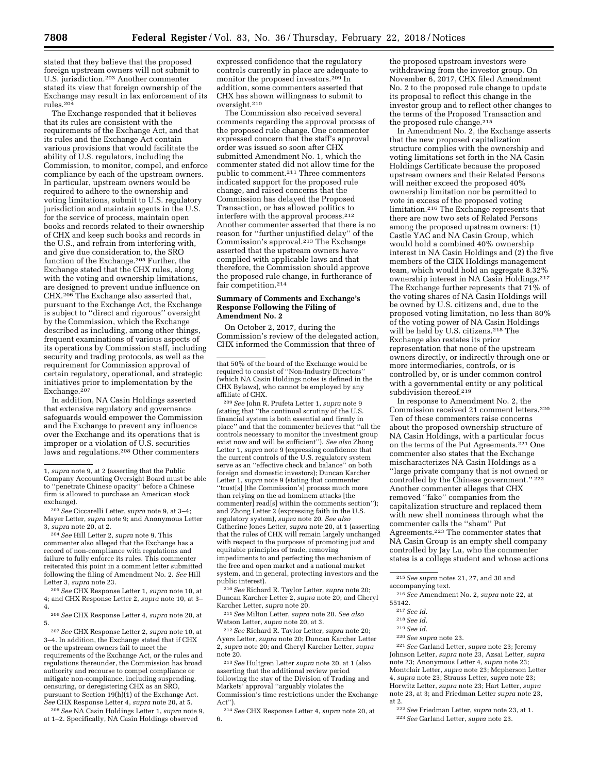stated that they believe that the proposed foreign upstream owners will not submit to U.S. jurisdiction.203 Another commenter stated its view that foreign ownership of the Exchange may result in lax enforcement of its rules.204

The Exchange responded that it believes that its rules are consistent with the requirements of the Exchange Act, and that its rules and the Exchange Act contain various provisions that would facilitate the ability of U.S. regulators, including the Commission, to monitor, compel, and enforce compliance by each of the upstream owners. In particular, upstream owners would be required to adhere to the ownership and voting limitations, submit to U.S. regulatory jurisdiction and maintain agents in the U.S. for the service of process, maintain open books and records related to their ownership of CHX and keep such books and records in the U.S., and refrain from interfering with, and give due consideration to, the SRO function of the Exchange.205 Further, the Exchange stated that the CHX rules, along with the voting and ownership limitations, are designed to prevent undue influence on CHX.206 The Exchange also asserted that, pursuant to the Exchange Act, the Exchange is subject to ''direct and rigorous'' oversight by the Commission, which the Exchange described as including, among other things, frequent examinations of various aspects of its operations by Commission staff, including security and trading protocols, as well as the requirement for Commission approval of certain regulatory, operational, and strategic initiatives prior to implementation by the Exchange.<sup>207</sup>

In addition, NA Casin Holdings asserted that extensive regulatory and governance safeguards would empower the Commission and the Exchange to prevent any influence over the Exchange and its operations that is improper or a violation of U.S. securities laws and regulations.208 Other commenters

204*See* Hill Letter 2, *supra* note 9. This commenter also alleged that the Exchange has a record of non-compliance with regulations and failure to fully enforce its rules. This commenter reiterated this point in a comment letter submitted following the filing of Amendment No. 2. *See* Hill Letter 3, *supra* note 23.

205*See* CHX Response Letter 1, *supra* note 10, at 4; and CHX Response Letter 2, *supra* note 10, at 3– 4.

206*See* CHX Response Letter 4, *supra* note 20, at 5.

207*See* CHX Response Letter 2, *supra* note 10, at 3–4. In addition, the Exchange stated that if CHX or the upstream owners fail to meet the requirements of the Exchange Act, or the rules and regulations thereunder, the Commission has broad authority and recourse to compel compliance or mitigate non-compliance, including suspending, censuring, or deregistering CHX as an SRO, pursuant to Section 19(h)(1) of the Exchange Act. *See* CHX Response Letter 4, *supra* note 20, at 5.

208*See* NA Casin Holdings Letter 1, *supra* note 9, at 1–2. Specifically, NA Casin Holdings observed

expressed confidence that the regulatory controls currently in place are adequate to monitor the proposed investors.209 In addition, some commenters asserted that CHX has shown willingness to submit to oversight.210

The Commission also received several comments regarding the approval process of the proposed rule change. One commenter expressed concern that the staff's approval order was issued so soon after CHX submitted Amendment No. 1, which the commenter stated did not allow time for the public to comment.211 Three commenters indicated support for the proposed rule change, and raised concerns that the Commission has delayed the Proposed Transaction, or has allowed politics to interfere with the approval process.212 Another commenter asserted that there is no reason for ''further unjustified delay'' of the Commission's approval.213 The Exchange asserted that the upstream owners have complied with applicable laws and that therefore, the Commission should approve the proposed rule change, in furtherance of fair competition.214

### **Summary of Comments and Exchange's Response Following the Filing of Amendment No. 2**

On October 2, 2017, during the Commission's review of the delegated action, CHX informed the Commission that three of

209*See* John R. Prufeta Letter 1, *supra* note 9 (stating that ''the continual scrutiny of the U.S. financial system is both essential and firmly in place'' and that the commenter believes that ''all the controls necessary to monitor the investment group exist now and will be sufficient''). *See also* Zhong Letter 1, *supra* note 9 (expressing confidence that the current controls of the U.S. regulatory system serve as an ''effective check and balance'' on both foreign and domestic investors); Duncan Karcher Letter 1, *supra* note 9 (stating that commenter ''trust[s] [the Commission's] process much more than relying on the ad hominem attacks [the commenter] read[s] within the comments section''); and Zhong Letter 2 (expressing faith in the U.S. regulatory system), *supra* note 20. *See also*  Catherine Jones Letter, *supra* note 20, at 1 (asserting that the rules of CHX will remain largely unchanged with respect to the purposes of promoting just and equitable principles of trade, removing impediments to and perfecting the mechanism of the free and open market and a national market system, and in general, protecting investors and the public interest).

210*See* Richard R. Taylor Letter, *supra* note 20; Duncan Karcher Letter 2, *supra* note 20; and Cheryl Karcher Letter, *supra* note 20.

211*See* Milton Letter, *supra* note 20. *See also*  Watson Letter, *supra* note 20, at 3.

212*See* Richard R. Taylor Letter, *supra* note 20; Ayers Letter, *supra* note 20; Duncan Karcher Letter 2, *supra* note 20; and Cheryl Karcher Letter, *supra*  note 20.

213*See* Hultgren Letter *supra* note 20, at 1 (also asserting that the additional review period following the stay of the Division of Trading and Markets' approval ''arguably violates the Commission's time restrictions under the Exchange Act").

214*See* CHX Response Letter 4, *supra* note 20, at 6.

the proposed upstream investors were withdrawing from the investor group. On November 6, 2017, CHX filed Amendment No. 2 to the proposed rule change to update its proposal to reflect this change in the investor group and to reflect other changes to the terms of the Proposed Transaction and the proposed rule change.<sup>215</sup>

In Amendment No. 2, the Exchange asserts that the new proposed capitalization structure complies with the ownership and voting limitations set forth in the NA Casin Holdings Certificate because the proposed upstream owners and their Related Persons will neither exceed the proposed 40% ownership limitation nor be permitted to vote in excess of the proposed voting limitation.216 The Exchange represents that there are now two sets of Related Persons among the proposed upstream owners: (1) Castle YAC and NA Casin Group, which would hold a combined 40% ownership interest in NA Casin Holdings and (2) the five members of the CHX Holdings management team, which would hold an aggregate 8.32% ownership interest in NA Casin Holdings.217 The Exchange further represents that 71% of the voting shares of NA Casin Holdings will be owned by U.S. citizens and, due to the proposed voting limitation, no less than 80% of the voting power of NA Casin Holdings will be held by U.S. citizens.<sup>218</sup> The Exchange also restates its prior representation that none of the upstream owners directly, or indirectly through one or more intermediaries, controls, or is controlled by, or is under common control with a governmental entity or any political subdivision thereof.<sup>219</sup>

In response to Amendment No. 2, the Commission received 21 comment letters.220 Ten of these commenters raise concerns about the proposed ownership structure of NA Casin Holdings, with a particular focus on the terms of the Put Agreements.221 One commenter also states that the Exchange mischaracterizes NA Casin Holdings as a ''large private company that is not owned or controlled by the Chinese government.'' 222 Another commenter alleges that CHX removed ''fake'' companies from the capitalization structure and replaced them with new shell nominees through what the commenter calls the ''sham'' Put Agreements.223 The commenter states that NA Casin Group is an empty shell company controlled by Jay Lu, who the commenter states is a college student and whose actions

216*See* Amendment No. 2, *supra* note 22, at 55142.

220*See supra* note 23.

221*See* Garland Letter, *supra* note 23; Jeremy Johnson Letter, *supra* note 23, Azsai Letter, *supra*  note 23; Anonymous Letter 4, *supra* note 23; Montclair Letter, *supra* note 23; Mcpherson Letter 4, *supra* note 23; Strauss Letter, *supra* note 23; Horwitz Letter, *supra* note 23; Hart Letter, *supra*  note 23, at 3; and Friedman Letter *supra* note 23, at 2.

222*See* Friedman Letter, *supra* note 23, at 1. 223*See* Garland Letter, *supra* note 23.

<sup>1,</sup> *supra* note 9, at 2 (asserting that the Public Company Accounting Oversight Board must be able to ''penetrate Chinese opacity'' before a Chinese firm is allowed to purchase an American stock exchange).

<sup>203</sup>*See* Ciccarelli Letter, *supra* note 9, at 3–4; Mayer Letter, *supra* note 9; and Anonymous Letter 3, *supra* note 20, at 2.

that 50% of the board of the Exchange would be required to consist of ''Non-Industry Directors'' (which NA Casin Holdings notes is defined in the CHX Bylaws), who cannot be employed by any affiliate of CHX.

<sup>215</sup>*See supra* notes 21, 27, and 30 and

accompanying text.

<sup>217</sup>*See id.* 

<sup>218</sup>*See id.* 

<sup>219</sup>*See id.*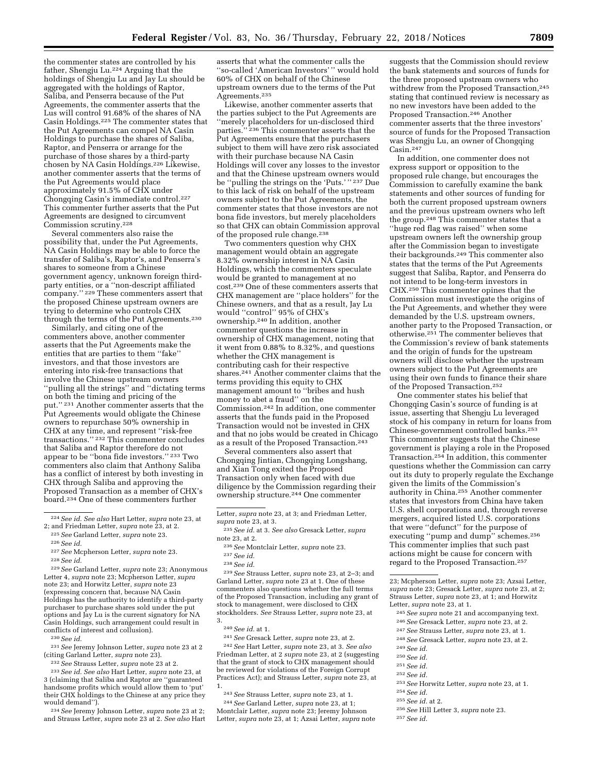the commenter states are controlled by his father, Shengju Lu.224 Arguing that the holdings of Shengju Lu and Jay Lu should be aggregated with the holdings of Raptor, Saliba, and Penserra because of the Put Agreements, the commenter asserts that the Lus will control 91.68% of the shares of NA Casin Holdings.225 The commenter states that the Put Agreements can compel NA Casin Holdings to purchase the shares of Saliba, Raptor, and Penserra or arrange for the purchase of those shares by a third-party chosen by NA Casin Holdings.226 Likewise, another commenter asserts that the terms of the Put Agreements would place approximately 91.5% of CHX under Chongqing Casin's immediate control.227 This commenter further asserts that the Put Agreements are designed to circumvent Commission scrutiny.228

Several commenters also raise the possibility that, under the Put Agreements, NA Casin Holdings may be able to force the transfer of Saliba's, Raptor's, and Penserra's shares to someone from a Chinese government agency, unknown foreign thirdparty entities, or a ''non-descript affiliated company.'' 229 These commenters assert that the proposed Chinese upstream owners are trying to determine who controls CHX through the terms of the Put Agreements.230

Similarly, and citing one of the commenters above, another commenter asserts that the Put Agreements make the entities that are parties to them ''fake'' investors, and that those investors are entering into risk-free transactions that involve the Chinese upstream owners ''pulling all the strings'' and ''dictating terms on both the timing and pricing of the put.'' 231 Another commenter asserts that the Put Agreements would obligate the Chinese owners to repurchase 50% ownership in CHX at any time, and represent ''risk-free transactions.'' 232 This commenter concludes that Saliba and Raptor therefore do not appear to be ''bona fide investors.'' 233 Two commenters also claim that Anthony Saliba has a conflict of interest by both investing in CHX through Saliba and approving the Proposed Transaction as a member of CHX's board.234 One of these commenters further

- 
- <sup>227</sup>*See* Mcpherson Letter, *supra* note 23. 228*See id.*
- 

229*See* Garland Letter, *supra* note 23; Anonymous Letter 4, *supra* note 23; Mcpherson Letter, *supra*  note 23; and Horwitz Letter, *supra* note 23 (expressing concern that, because NA Casin Holdings has the authority to identify a third-party purchaser to purchase shares sold under the put options and Jay Lu is the current signatory for NA Casin Holdings, such arrangement could result in conflicts of interest and collusion).

230*See id.* 

231*See* Jeremy Johnson Letter, *supra* note 23 at 2

(citing Garland Letter, *supra* note 23). 232*See* Strauss Letter, *supra* note 23 at 2. 233*See id. See also* Hart Letter, *supra* note 23, at 3 (claiming that Saliba and Raptor are ''guaranteed handsome profits which would allow them to 'put' their CHX holdings to the Chinese at any price they would demand'').

<sup>234</sup> See Jeremy Johnson Letter, *supra* note 23 at 2; and Strauss Letter, *supra* note 23 at 2. *See also* Hart

asserts that what the commenter calls the ''so-called 'American Investors' '' would hold 60% of CHX on behalf of the Chinese upstream owners due to the terms of the Put Agreements.235

Likewise, another commenter asserts that the parties subject to the Put Agreements are ''merely placeholders for un-disclosed third parties."<sup>236</sup> This commenter asserts that the Put Agreements ensure that the purchasers subject to them will have zero risk associated with their purchase because NA Casin Holdings will cover any losses to the investor and that the Chinese upstream owners would be ''pulling the strings on the 'Puts.' '' 237 Due to this lack of risk on behalf of the upstream owners subject to the Put Agreements, the commenter states that those investors are not bona fide investors, but merely placeholders so that CHX can obtain Commission approval of the proposed rule change.<sup>238</sup>

Two commenters question why CHX management would obtain an aggregate 8.32% ownership interest in NA Casin Holdings, which the commenters speculate would be granted to management at no cost.239 One of these commenters asserts that CHX management are ''place holders'' for the Chinese owners, and that as a result, Jay Lu would ''control'' 95% of CHX's ownership.240 In addition, another commenter questions the increase in ownership of CHX management, noting that it went from 0.88% to 8.32%, and questions whether the CHX management is contributing cash for their respective shares.241 Another commenter claims that the terms providing this equity to CHX management amount to ''bribes and hush money to abet a fraud'' on the Commission.242 In addition, one commenter asserts that the funds paid in the Proposed Transaction would not be invested in CHX and that no jobs would be created in Chicago as a result of the Proposed Transaction.<sup>243</sup>

Several commenters also assert that Chongqing Jintian, Chongqing Longshang, and Xian Tong exited the Proposed Transaction only when faced with due diligence by the Commission regarding their ownership structure.244 One commenter

- 236*See* Montclair Letter, *supra* note 23.
- 237*See id.*
- 238*See id.*

239*See* Strauss Letter, *supra* note 23, at 2–3; and Garland Letter, *supra* note 23 at 1. One of these commenters also questions whether the full terms of the Proposed Transaction, including any grant of stock to management, were disclosed to CHX stockholders. *See* Strauss Letter, *supra* note 23, at 3.

240*See id.* at 1.

241*See* Gresack Letter, *supra* note 23, at 2. 242*See* Hart Letter, *supra* note 23, at 3. *See also*  Friedman Letter, at 2 *supra* note 23, at 2 (suggesting that the grant of stock to CHX management should be reviewed for violations of the Foreign Corrupt Practices Act); and Strauss Letter, *supra* note 23, at

1. 243*See* Strauss Letter, *supra* note 23, at 1. 244*See* Garland Letter, *supra* note 23, at 1; Montclair Letter, *supra* note 23; Jeremy Johnson Letter, *supra* note 23, at 1; Azsai Letter, *supra* note

suggests that the Commission should review the bank statements and sources of funds for the three proposed upstream owners who withdrew from the Proposed Transaction.<sup>245</sup> stating that continued review is necessary as no new investors have been added to the Proposed Transaction.246 Another commenter asserts that the three investors' source of funds for the Proposed Transaction was Shengju Lu, an owner of Chongqing Casin.247

In addition, one commenter does not express support or opposition to the proposed rule change, but encourages the Commission to carefully examine the bank statements and other sources of funding for both the current proposed upstream owners and the previous upstream owners who left the group.248 This commenter states that a ''huge red flag was raised'' when some upstream owners left the ownership group after the Commission began to investigate their backgrounds.249 This commenter also states that the terms of the Put Agreements suggest that Saliba, Raptor, and Penserra do not intend to be long-term investors in CHX.250 This commenter opines that the Commission must investigate the origins of the Put Agreements, and whether they were demanded by the U.S. upstream owners, another party to the Proposed Transaction, or otherwise.251 The commenter believes that the Commission's review of bank statements and the origin of funds for the upstream owners will disclose whether the upstream owners subject to the Put Agreements are using their own funds to finance their share of the Proposed Transaction.252

One commenter states his belief that Chongqing Casin's source of funding is at issue, asserting that Shengju Lu leveraged stock of his company in return for loans from Chinese-government controlled banks.253 This commenter suggests that the Chinese government is playing a role in the Proposed Transaction.<sup>254</sup> In addition, this commenter questions whether the Commission can carry out its duty to properly regulate the Exchange given the limits of the Commission's authority in China.255 Another commenter states that investors from China have taken U.S. shell corporations and, through reverse mergers, acquired listed U.S. corporations that were ''defunct'' for the purpose of executing ''pump and dump'' schemes.256 This commenter implies that such past actions might be cause for concern with regard to the Proposed Transaction.257

- 245*See supra* note 21 and accompanying text.
- 246*See* Gresack Letter, *supra* note 23, at 2.
- 247*See* Strauss Letter, *supra* note 23, at 1.
- 248*See* Gresack Letter, *supra* note 23, at 2.
- 249*See id.*
- 250*See id.*
- 251*See id.*
- 252*See id.*
- 253*See* Horwitz Letter, *supra* note 23, at 1.
- 254*See id.*
- 255*See id.* at 2.
- 256*See* Hill Letter 3, *supra* note 23.
- 257*See id.*

<sup>224</sup>*See id. See also* Hart Letter, *supra* note 23, at

<sup>&</sup>lt;sup>225</sup> See Garland Letter, *supra* note 23. <sup>226</sup> See *id*.

Letter, *supra* note 23, at 3; and Friedman Letter, *supra* note 23, at 3.

<sup>235</sup>*See id.* at 3. *See also* Gresack Letter, *supra*  note 23, at 2.

<sup>23;</sup> Mcpherson Letter, *supra* note 23; Azsai Letter, *supra* note 23; Gresack Letter, *supra* note 23, at 2; Strauss Letter, *supra* note 23, at 1; and Horwitz Letter, *supra* note 23, at 1.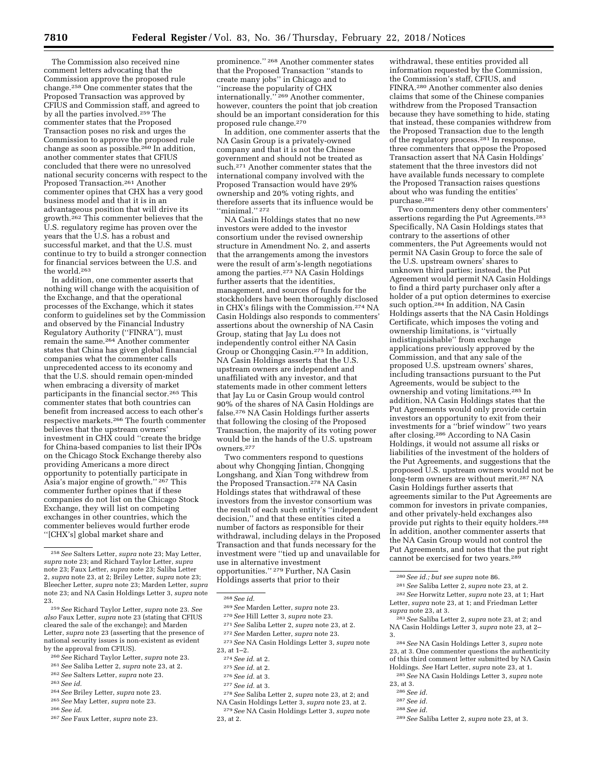The Commission also received nine comment letters advocating that the Commission approve the proposed rule change.258 One commenter states that the Proposed Transaction was approved by CFIUS and Commission staff, and agreed to by all the parties involved.259 The commenter states that the Proposed Transaction poses no risk and urges the Commission to approve the proposed rule change as soon as possible.260 In addition, another commenter states that CFIUS concluded that there were no unresolved national security concerns with respect to the Proposed Transaction.261 Another commenter opines that CHX has a very good business model and that it is in an advantageous position that will drive its growth.262 This commenter believes that the U.S. regulatory regime has proven over the years that the U.S. has a robust and successful market, and that the U.S. must continue to try to build a stronger connection for financial services between the U.S. and the world.263

In addition, one commenter asserts that nothing will change with the acquisition of the Exchange, and that the operational processes of the Exchange, which it states conform to guidelines set by the Commission and observed by the Financial Industry Regulatory Authority (''FINRA''), must remain the same.264 Another commenter states that China has given global financial companies what the commenter calls unprecedented access to its economy and that the U.S. should remain open-minded when embracing a diversity of market participants in the financial sector.265 This commenter states that both countries can benefit from increased access to each other's respective markets.266 The fourth commenter believes that the upstream owners' investment in CHX could ''create the bridge for China-based companies to list their IPOs on the Chicago Stock Exchange thereby also providing Americans a more direct opportunity to potentially participate in Asia's major engine of growth.'' 267 This commenter further opines that if these companies do not list on the Chicago Stock Exchange, they will list on competing exchanges in other countries, which the commenter believes would further erode ''[CHX's] global market share and

259*See* Richard Taylor Letter, *supra* note 23. *See also* Faux Letter, *supra* note 23 (stating that CFIUS cleared the sale of the exchange); and Marden Letter, *supra* note 23 (asserting that the presence of national security issues is non-existent as evident by the approval from CFIUS).

- 260*See* Richard Taylor Letter, *supra* note 23.
- 261*See* Saliba Letter 2, *supra* note 23, at 2.
- 262*See* Salters Letter, *supra* note 23.
- 263*See id.*
- 264*See* Briley Letter, *supra* note 23. 265*See* May Letter, *supra* note 23.
- 266*See id.*
- 267*See* Faux Letter, *supra* note 23.

prominence.'' 268 Another commenter states that the Proposed Transaction ''stands to create many jobs'' in Chicago and to ''increase the popularity of CHX internationally.'' 269 Another commenter, however, counters the point that job creation should be an important consideration for this proposed rule change.270

In addition, one commenter asserts that the NA Casin Group is a privately-owned company and that it is not the Chinese government and should not be treated as such.271 Another commenter states that the international company involved with the Proposed Transaction would have 29% ownership and 20% voting rights, and therefore asserts that its influence would be ''minimal.'' 272

NA Casin Holdings states that no new investors were added to the investor consortium under the revised ownership structure in Amendment No. 2, and asserts that the arrangements among the investors were the result of arm's-length negotiations among the parties.273 NA Casin Holdings further asserts that the identities, management, and sources of funds for the stockholders have been thoroughly disclosed in CHX's filings with the Commission.274 NA Casin Holdings also responds to commenters' assertions about the ownership of NA Casin Group, stating that Jay Lu does not independently control either NA Casin Group or Chongqing Casin.275 In addition, NA Casin Holdings asserts that the U.S. upstream owners are independent and unaffiliated with any investor, and that statements made in other comment letters that Jay Lu or Casin Group would control 90% of the shares of NA Casin Holdings are false.276 NA Casin Holdings further asserts that following the closing of the Proposed Transaction, the majority of its voting power would be in the hands of the U.S. upstream owners.277

Two commenters respond to questions about why Chongqing Jintian, Chongqing Longshang, and Xian Tong withdrew from the Proposed Transaction.<sup>278</sup> NA Casin Holdings states that withdrawal of these investors from the investor consortium was the result of each such entity's ''independent decision,'' and that these entities cited a number of factors as responsible for their withdrawal, including delays in the Proposed Transaction and that funds necessary for the investment were ''tied up and unavailable for use in alternative investment opportunities.'' 279 Further, NA Casin Holdings asserts that prior to their

- 269*See* Marden Letter, *supra* note 23.
- 270*See* Hill Letter 3, *supra* note 23.
- 271*See* Saliba Letter 2, *supra* note 23, at 2.
- 272*See* Marden Letter, *supra* note 23.
- 273*See* NA Casin Holdings Letter 3, *supra* note
- 23, at 1–2.
	- 274*See id.* at 2.
	- 275*See id.* at 2.
	- 276*See id.* at 3.
	-
	- 277*See id.* at 3.

278*See* Saliba Letter 2, *supra* note 23, at 2; and NA Casin Holdings Letter 3, *supra* note 23, at 2.

withdrawal, these entities provided all information requested by the Commission, the Commission's staff, CFIUS, and FINRA.280 Another commenter also denies claims that some of the Chinese companies withdrew from the Proposed Transaction because they have something to hide, stating that instead, these companies withdrew from the Proposed Transaction due to the length of the regulatory process.281 In response, three commenters that oppose the Proposed Transaction assert that NA Casin Holdings' statement that the three investors did not have available funds necessary to complete the Proposed Transaction raises questions about who was funding the entities' purchase.282

Two commenters deny other commenters' assertions regarding the Put Agreements.283 Specifically, NA Casin Holdings states that contrary to the assertions of other commenters, the Put Agreements would not permit NA Casin Group to force the sale of the U.S. upstream owners' shares to unknown third parties; instead, the Put Agreement would permit NA Casin Holdings to find a third party purchaser only after a holder of a put option determines to exercise such option.<sup>284</sup> In addition, NA Casin Holdings asserts that the NA Casin Holdings Certificate, which imposes the voting and ownership limitations, is ''virtually indistinguishable'' from exchange applications previously approved by the Commission, and that any sale of the proposed U.S. upstream owners' shares, including transactions pursuant to the Put Agreements, would be subject to the ownership and voting limitations.285 In addition, NA Casin Holdings states that the Put Agreements would only provide certain investors an opportunity to exit from their investments for a ''brief window'' two years after closing.286 According to NA Casin Holdings, it would not assume all risks or liabilities of the investment of the holders of the Put Agreements, and suggestions that the proposed U.S. upstream owners would not be long-term owners are without merit.<sup>287</sup> NA Casin Holdings further asserts that agreements similar to the Put Agreements are common for investors in private companies, and other privately-held exchanges also provide put rights to their equity holders.288 In addition, another commenter asserts that the NA Casin Group would not control the Put Agreements, and notes that the put right cannot be exercised for two years.<sup>289</sup>

282*See* Horwitz Letter, *supra* note 23, at 1; Hart Letter, *supra* note 23, at 1; and Friedman Letter *supra* note 23, at 3.

283*See* Saliba Letter 2, *supra* note 23, at 2; and NA Casin Holdings Letter 3, *supra* note 23, at 2– 3.

284*See* NA Casin Holdings Letter 3, *supra* note 23, at 3. One commenter questions the authenticity of this third comment letter submitted by NA Casin Holdings. *See* Hart Letter, *supra* note 23, at 1.

285*See* NA Casin Holdings Letter 3, *supra* note 23, at 3.

- 286*See id.*
- 287*See id.*
- 288*See id.*

<sup>258</sup>*See* Salters Letter, *supra* note 23; May Letter, *supra* note 23; and Richard Taylor Letter, *supra*  note 23; Faux Letter, *supra* note 23; Saliba Letter 2, *supra* note 23, at 2; Briley Letter, *supra* note 23; Bleecher Letter, *supra* note 23; Marden Letter, *supra*  note 23; and NA Casin Holdings Letter 3, *supra* note 23.

<sup>268</sup>*See id.* 

<sup>279</sup>*See* NA Casin Holdings Letter 3, *supra* note 23, at 2.

<sup>280</sup>*See id.; but see supra* note 86.

<sup>281</sup>*See* Saliba Letter 2, *supra* note 23, at 2.

<sup>289</sup>*See* Saliba Letter 2, *supra* note 23, at 3.